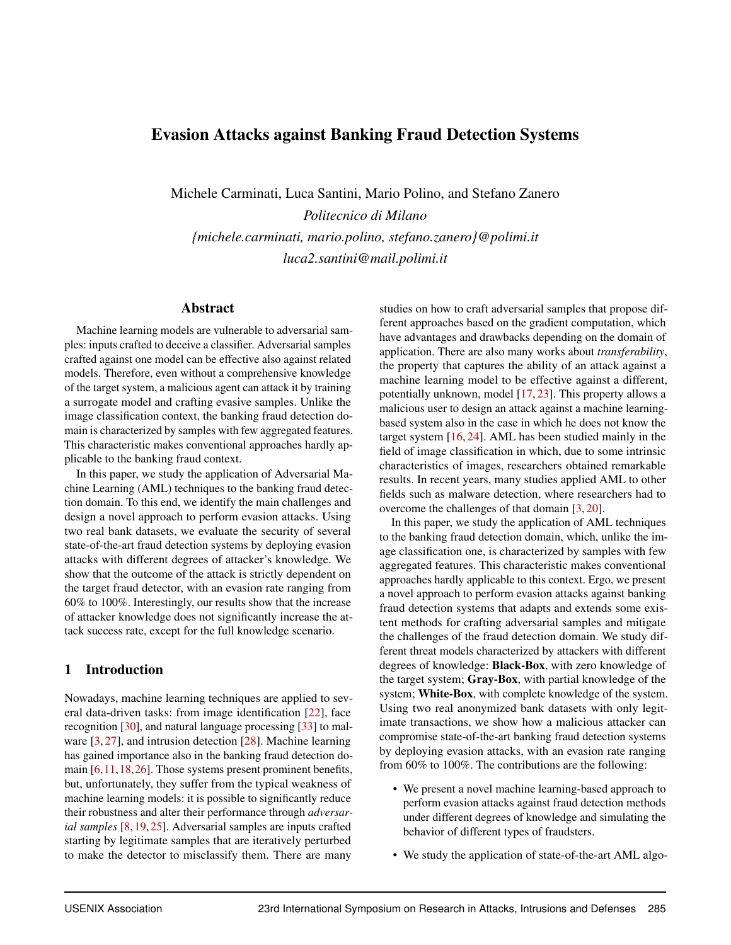# Evasion Attacks against Banking Fraud Detection Systems

Michele Carminati, Luca Santini, Mario Polino, and Stefano Zanero

*Politecnico di Milano {michele.carminati, mario.polino, stefano.zanero}@polimi.it luca2.santini@mail.polimi.it*

### Abstract

Machine learning models are vulnerable to adversarial samples: inputs crafted to deceive a classifier. Adversarial samples crafted against one model can be effective also against related models. Therefore, even without a comprehensive knowledge of the target system, a malicious agent can attack it by training a surrogate model and crafting evasive samples. Unlike the image classification context, the banking fraud detection domain is characterized by samples with few aggregated features. This characteristic makes conventional approaches hardly applicable to the banking fraud context.

In this paper, we study the application of Adversarial Machine Learning (AML) techniques to the banking fraud detection domain. To this end, we identify the main challenges and design a novel approach to perform evasion attacks. Using two real bank datasets, we evaluate the security of several state-of-the-art fraud detection systems by deploying evasion attacks with different degrees of attacker's knowledge. We show that the outcome of the attack is strictly dependent on the target fraud detector, with an evasion rate ranging from 60% to 100%. Interestingly, our results show that the increase of attacker knowledge does not significantly increase the attack success rate, except for the full knowledge scenario.

### 1 Introduction

Nowadays, machine learning techniques are applied to several data-driven tasks: from image identification [\[22\]](#page-12-0), face recognition [\[30\]](#page-12-1), and natural language processing [\[33\]](#page-12-2) to malware [\[3,](#page-11-0) [27\]](#page-12-3), and intrusion detection [\[28\]](#page-12-4). Machine learning has gained importance also in the banking fraud detection domain [\[6,](#page-11-1)[11,](#page-11-2)[18,](#page-12-5)[26\]](#page-12-6). Those systems present prominent benefits, but, unfortunately, they suffer from the typical weakness of machine learning models: it is possible to significantly reduce their robustness and alter their performance through *adversarial samples* [\[8,](#page-11-3) [19,](#page-12-7) [25\]](#page-12-8). Adversarial samples are inputs crafted starting by legitimate samples that are iteratively perturbed to make the detector to misclassify them. There are many

studies on how to craft adversarial samples that propose different approaches based on the gradient computation, which have advantages and drawbacks depending on the domain of application. There are also many works about *transferability*, the property that captures the ability of an attack against a machine learning model to be effective against a different, potentially unknown, model [\[17,](#page-12-9) [23\]](#page-12-10). This property allows a malicious user to design an attack against a machine learningbased system also in the case in which he does not know the target system [\[16,](#page-11-4) [24\]](#page-12-11). AML has been studied mainly in the field of image classification in which, due to some intrinsic characteristics of images, researchers obtained remarkable results. In recent years, many studies applied AML to other fields such as malware detection, where researchers had to overcome the challenges of that domain [\[3,](#page-11-0) [20\]](#page-12-12).

In this paper, we study the application of AML techniques to the banking fraud detection domain, which, unlike the image classification one, is characterized by samples with few aggregated features. This characteristic makes conventional approaches hardly applicable to this context. Ergo, we present a novel approach to perform evasion attacks against banking fraud detection systems that adapts and extends some existent methods for crafting adversarial samples and mitigate the challenges of the fraud detection domain. We study different threat models characterized by attackers with different degrees of knowledge: Black-Box, with zero knowledge of the target system; Gray-Box, with partial knowledge of the system; White-Box, with complete knowledge of the system. Using two real anonymized bank datasets with only legitimate transactions, we show how a malicious attacker can compromise state-of-the-art banking fraud detection systems by deploying evasion attacks, with an evasion rate ranging from 60% to 100%. The contributions are the following:

- We present a novel machine learning-based approach to perform evasion attacks against fraud detection methods under different degrees of knowledge and simulating the behavior of different types of fraudsters.
- We study the application of state-of-the-art AML algo-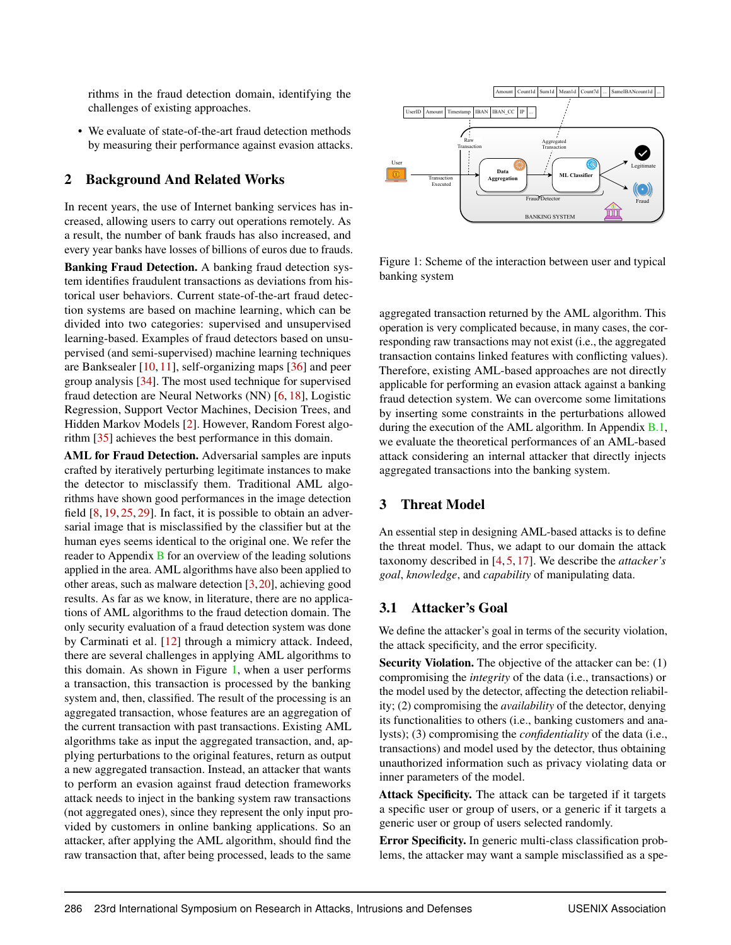rithms in the fraud detection domain, identifying the challenges of existing approaches.

• We evaluate of state-of-the-art fraud detection methods by measuring their performance against evasion attacks.

### 2 Background And Related Works

In recent years, the use of Internet banking services has increased, allowing users to carry out operations remotely. As a result, the number of bank frauds has also increased, and every year banks have losses of billions of euros due to frauds.

Banking Fraud Detection. A banking fraud detection system identifies fraudulent transactions as deviations from historical user behaviors. Current state-of-the-art fraud detection systems are based on machine learning, which can be divided into two categories: supervised and unsupervised learning-based. Examples of fraud detectors based on unsupervised (and semi-supervised) machine learning techniques are Banksealer [\[10,](#page-11-5) [11\]](#page-11-2), self-organizing maps [\[36\]](#page-12-13) and peer group analysis [\[34\]](#page-12-14). The most used technique for supervised fraud detection are Neural Networks (NN) [\[6,](#page-11-1) [18\]](#page-12-5), Logistic Regression, Support Vector Machines, Decision Trees, and Hidden Markov Models [\[2\]](#page-11-6). However, Random Forest algorithm [\[35\]](#page-12-15) achieves the best performance in this domain.

<span id="page-1-1"></span>AML for Fraud Detection. Adversarial samples are inputs crafted by iteratively perturbing legitimate instances to make the detector to misclassify them. Traditional AML algorithms have shown good performances in the image detection field [\[8,](#page-11-3) [19,](#page-12-7) [25,](#page-12-8) [29\]](#page-12-16). In fact, it is possible to obtain an adversarial image that is misclassified by the classifier but at the human eyes seems identical to the original one. We refer the reader to Appendix [B](#page-13-0) for an overview of the leading solutions applied in the area. AML algorithms have also been applied to other areas, such as malware detection [\[3,](#page-11-0)[20\]](#page-12-12), achieving good results. As far as we know, in literature, there are no applications of AML algorithms to the fraud detection domain. The only security evaluation of a fraud detection system was done by Carminati et al. [\[12\]](#page-11-7) through a mimicry attack. Indeed, there are several challenges in applying AML algorithms to this domain. As shown in Figure [1,](#page-1-0) when a user performs a transaction, this transaction is processed by the banking system and, then, classified. The result of the processing is an aggregated transaction, whose features are an aggregation of the current transaction with past transactions. Existing AML algorithms take as input the aggregated transaction, and, applying perturbations to the original features, return as output a new aggregated transaction. Instead, an attacker that wants to perform an evasion against fraud detection frameworks attack needs to inject in the banking system raw transactions (not aggregated ones), since they represent the only input provided by customers in online banking applications. So an attacker, after applying the AML algorithm, should find the **2 Background And Related Works**<br>
In recense of these use of these transportations (services has in recense of the same of these transportances of the same of the same of the same and a result, the number of bank finads h



<span id="page-1-0"></span>Figure 1: Scheme of the interaction between user and typical banking system

aggregated transaction returned by the AML algorithm. This operation is very complicated because, in many cases, the corresponding raw transactions may not exist (i.e., the aggregated transaction contains linked features with conflicting values). Therefore, existing AML-based approaches are not directly applicable for performing an evasion attack against a banking fraud detection system. We can overcome some limitations by inserting some constraints in the perturbations allowed during the execution of the AML algorithm. In Appendix [B.1,](#page-14-0) we evaluate the theoretical performances of an AML-based attack considering an internal attacker that directly injects aggregated transactions into the banking system.

## <span id="page-1-2"></span>3 Threat Model

An essential step in designing AML-based attacks is to define the threat model. Thus, we adapt to our domain the attack taxonomy described in [\[4,](#page-11-8) [5,](#page-11-9) [17\]](#page-12-9). We describe the *attacker's goal*, *knowledge*, and *capability* of manipulating data.

### 3.1 Attacker's Goal

We define the attacker's goal in terms of the security violation, the attack specificity, and the error specificity.

Security Violation. The objective of the attacker can be: (1) compromising the *integrity* of the data (i.e., transactions) or the model used by the detector, affecting the detection reliability; (2) compromising the *availability* of the detector, denying its functionalities to others (i.e., banking customers and analysts); (3) compromising the *confidentiality* of the data (i.e., transactions) and model used by the detector, thus obtaining unauthorized information such as privacy violating data or inner parameters of the model.

Attack Specificity. The attack can be targeted if it targets a specific user or group of users, or a generic if it targets a generic user or group of users selected randomly.

Error Specificity. In generic multi-class classification problems, the attacker may want a sample misclassified as a spe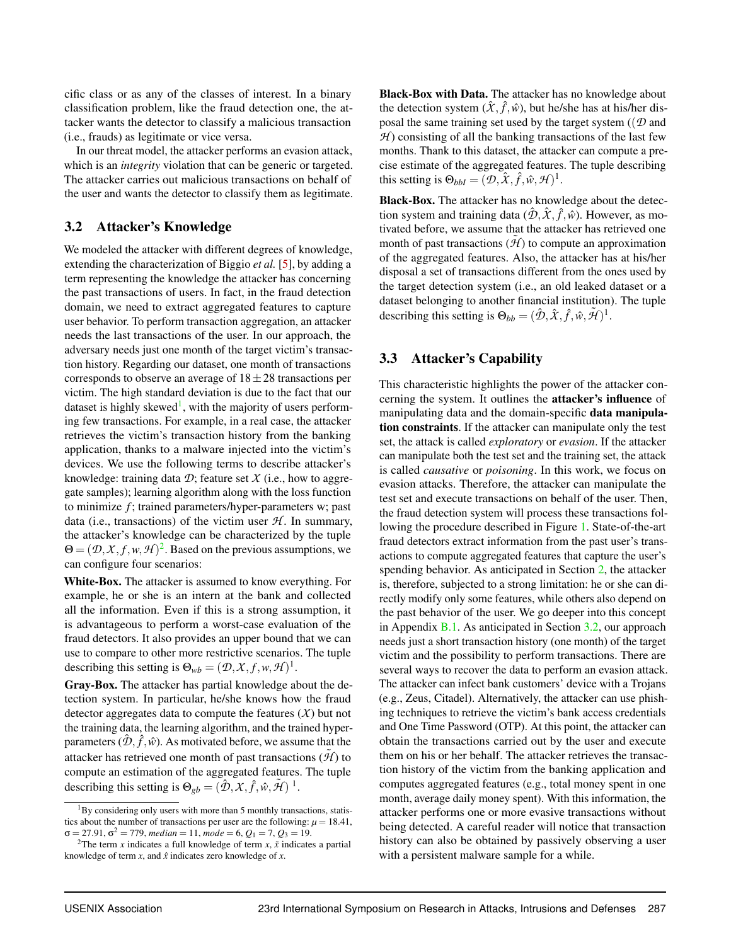cific class or as any of the classes of interest. In a binary classification problem, like the fraud detection one, the attacker wants the detector to classify a malicious transaction (i.e., frauds) as legitimate or vice versa.

In our threat model, the attacker performs an evasion attack, which is an *integrity* violation that can be generic or targeted. The attacker carries out malicious transactions on behalf of the user and wants the detector to classify them as legitimate.

## <span id="page-2-2"></span>3.2 Attacker's Knowledge

We modeled the attacker with different degrees of knowledge, extending the characterization of Biggio *et al.* [\[5\]](#page-11-9), by adding a term representing the knowledge the attacker has concerning the past transactions of users. In fact, in the fraud detection domain, we need to extract aggregated features to capture user behavior. To perform transaction aggregation, an attacker needs the last transactions of the user. In our approach, the adversary needs just one month of the target victim's transaction history. Regarding our dataset, one month of transactions corresponds to observe an average of  $18 \pm 28$  transactions per victim. The high standard deviation is due to the fact that our dataset is highly skewed<sup>[1](#page-2-0)</sup>, with the majority of users performing few transactions. For example, in a real case, the attacker retrieves the victim's transaction history from the banking application, thanks to a malware injected into the victim's devices. We use the following terms to describe attacker's knowledge: training data  $\mathcal{D}$ ; feature set  $\mathcal{X}$  (i.e., how to aggregate samples); learning algorithm along with the loss function to minimize *f* ; trained parameters/hyper-parameters w; past data (i.e., transactions) of the victim user  $H$ . In summary, the attacker's knowledge can be characterized by the tuple  $\Theta = (\mathcal{D}, \mathcal{X}, f, w, \mathcal{H})^2$  $\Theta = (\mathcal{D}, \mathcal{X}, f, w, \mathcal{H})^2$ . Based on the previous assumptions, we can configure four scenarios:

White-Box. The attacker is assumed to know everything. For example, he or she is an intern at the bank and collected all the information. Even if this is a strong assumption, it is advantageous to perform a worst-case evaluation of the fraud detectors. It also provides an upper bound that we can use to compare to other more restrictive scenarios. The tuple describing this setting is  $\Theta_{wb} = (\mathcal{D}, \mathcal{X}, f, w, \mathcal{H})^1$ .

Gray-Box. The attacker has partial knowledge about the detection system. In particular, he/she knows how the fraud detector aggregates data to compute the features (*X*) but not the training data, the learning algorithm, and the trained hyperparameters  $(\hat{\mathcal{D}}, \hat{f}, \hat{w})$ . As motivated before, we assume that the attacker has retrieved one month of past transactions  $(\tilde{\mathcal{H}})$  to compute an estimation of the aggregated features. The tuple describing this setting is  $\Theta_{gb} = (\hat{\mathcal{D}}, \mathcal{X}, \hat{f}, \hat{w}, \tilde{\mathcal{H}})^{-1}$ .

Black-Box with Data. The attacker has no knowledge about the detection system  $(\hat{X}, \hat{f}, \hat{w})$ , but he/she has at his/her disposal the same training set used by the target system ((*D* and  $H$ ) consisting of all the banking transactions of the last few months. Thank to this dataset, the attacker can compute a precise estimate of the aggregated features. The tuple describing this setting is  $\Theta_{bbI} = (\mathcal{D}, \hat{X}, \hat{f}, \hat{w}, \mathcal{H})^1$ .

Black-Box. The attacker has no knowledge about the detection system and training data  $(\hat{\mathcal{D}}, \hat{X}, \hat{f}, \hat{w})$ . However, as motivated before, we assume that the attacker has retrieved one month of past transactions  $(\tilde{\mathcal{H}})$  to compute an approximation of the aggregated features. Also, the attacker has at his/her disposal a set of transactions different from the ones used by the target detection system (i.e., an old leaked dataset or a dataset belonging to another financial institution). The tuple describing this setting is  $\Theta_{bb} = (\hat{\mathcal{D}}, \hat{X}, \hat{f}, \hat{w}, \tilde{\mathcal{H}})^1$ .

# 3.3 Attacker's Capability

This characteristic highlights the power of the attacker concerning the system. It outlines the attacker's influence of manipulating data and the domain-specific data manipulation constraints. If the attacker can manipulate only the test set, the attack is called *exploratory* or *evasion*. If the attacker can manipulate both the test set and the training set, the attack is called *causative* or *poisoning*. In this work, we focus on evasion attacks. Therefore, the attacker can manipulate the test set and execute transactions on behalf of the user. Then, the fraud detection system will process these transactions following the procedure described in Figure [1.](#page-1-0) State-of-the-art fraud detectors extract information from the past user's transactions to compute aggregated features that capture the user's spending behavior. As anticipated in Section [2,](#page-1-1) the attacker is, therefore, subjected to a strong limitation: he or she can directly modify only some features, while others also depend on the past behavior of the user. We go deeper into this concept in Appendix  $B.1$ . As anticipated in Section [3.2,](#page-2-2) our approach needs just a short transaction history (one month) of the target victim and the possibility to perform transactions. There are several ways to recover the data to perform an evasion attack. The attacker can infect bank customers' device with a Trojans (e.g., Zeus, Citadel). Alternatively, the attacker can use phishing techniques to retrieve the victim's bank access credentials and One Time Password (OTP). At this point, the attacker can obtain the transactions carried out by the user and execute them on his or her behalf. The attacker retrieves the transaction history of the victim from the banking application and computes aggregated features (e.g., total money spent in one month, average daily money spent). With this information, the attacker performs one or more evasive transactions without being detected. A careful reader will notice that transaction history can also be obtained by passively observing a user with a persistent malware sample for a while.

<span id="page-2-0"></span> $1_{\rm BV}$  considering only users with more than 5 monthly transactions, statistics about the number of transactions per user are the following:  $\mu = 18.41$ ,  $\sigma = 27.91, \sigma^2 = 779, median = 11, mode = 6, Q_1 = 7, Q_3 = 19.$ 

<span id="page-2-1"></span><sup>&</sup>lt;sup>2</sup>The term *x* indicates a full knowledge of term *x*,  $\tilde{x}$  indicates a partial knowledge of term  $x$ , and  $\hat{x}$  indicates zero knowledge of  $x$ .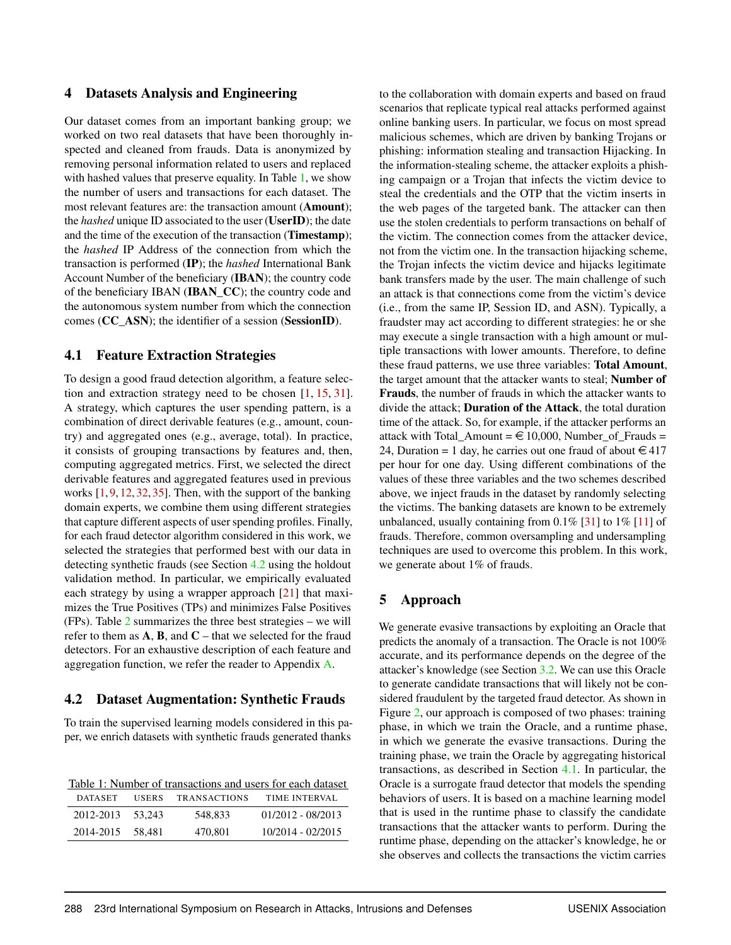### 4 Datasets Analysis and Engineering

Our dataset comes from an important banking group; we worked on two real datasets that have been thoroughly inspected and cleaned from frauds. Data is anonymized by removing personal information related to users and replaced with hashed values that preserve equality. In Table [1,](#page-3-0) we show the number of users and transactions for each dataset. The most relevant features are: the transaction amount (Amount); the *hashed* unique ID associated to the user (UserID); the date and the time of the execution of the transaction (Timestamp); the *hashed* IP Address of the connection from which the transaction is performed (IP); the *hashed* International Bank Account Number of the beneficiary (IBAN); the country code of the beneficiary IBAN (IBAN\_CC); the country code and the autonomous system number from which the connection comes (CC\_ASN); the identifier of a session (SessionID).

### <span id="page-3-2"></span>4.1 Feature Extraction Strategies

To design a good fraud detection algorithm, a feature selection and extraction strategy need to be chosen [\[1,](#page-11-10) [15,](#page-11-11) [31\]](#page-12-17). A strategy, which captures the user spending pattern, is a combination of direct derivable features (e.g., amount, country) and aggregated ones (e.g., average, total). In practice, it consists of grouping transactions by features and, then, computing aggregated metrics. First, we selected the direct derivable features and aggregated features used in previous works [\[1,](#page-11-10) [9,](#page-11-12) [12,](#page-11-7) [32,](#page-12-18) [35\]](#page-12-15). Then, with the support of the banking domain experts, we combine them using different strategies that capture different aspects of user spending profiles. Finally, for each fraud detector algorithm considered in this work, we selected the strategies that performed best with our data in detecting synthetic frauds (see Section [4.2](#page-3-1) using the holdout validation method. In particular, we empirically evaluated each strategy by using a wrapper approach [\[21\]](#page-12-19) that maximizes the True Positives (TPs) and minimizes False Positives (FPs). Table [2](#page-4-0) summarizes the three best strategies – we will refer to them as  $A$ ,  $B$ , and  $C$  – that we selected for the fraud detectors. For an exhaustive description of each feature and aggregation function, we refer the reader to Appendix [A.](#page-13-1)

### <span id="page-3-1"></span>4.2 Dataset Augmentation: Synthetic Frauds

To train the supervised learning models considered in this paper, we enrich datasets with synthetic frauds generated thanks

<span id="page-3-0"></span>

|                |              |                     | Table 1: Number of transactions and users for each dataset |
|----------------|--------------|---------------------|------------------------------------------------------------|
| <b>DATASET</b> | <b>USERS</b> | <b>TRANSACTIONS</b> | TIME INTERVAL                                              |
| 2012-2013      | 53.243       | 548.833             | $01/2012 - 08/2013$                                        |
| 2014-2015      | 58.481       | 470.801             | 10/2014 - 02/2015                                          |

to the collaboration with domain experts and based on fraud scenarios that replicate typical real attacks performed against online banking users. In particular, we focus on most spread malicious schemes, which are driven by banking Trojans or phishing: information stealing and transaction Hijacking. In the information-stealing scheme, the attacker exploits a phishing campaign or a Trojan that infects the victim device to steal the credentials and the OTP that the victim inserts in the web pages of the targeted bank. The attacker can then use the stolen credentials to perform transactions on behalf of the victim. The connection comes from the attacker device, not from the victim one. In the transaction hijacking scheme, the Trojan infects the victim device and hijacks legitimate bank transfers made by the user. The main challenge of such an attack is that connections come from the victim's device (i.e., from the same IP, Session ID, and ASN). Typically, a fraudster may act according to different strategies: he or she may execute a single transaction with a high amount or multiple transactions with lower amounts. Therefore, to define these fraud patterns, we use three variables: Total Amount, the target amount that the attacker wants to steal; Number of Frauds, the number of frauds in which the attacker wants to divide the attack; Duration of the Attack, the total duration time of the attack. So, for example, if the attacker performs an attack with Total\_Amount =  $\in$  10,000, Number\_of\_Frauds = 24, Duration = 1 day, he carries out one fraud of about  $\epsilon$  417 per hour for one day. Using different combinations of the values of these three variables and the two schemes described above, we inject frauds in the dataset by randomly selecting the victims. The banking datasets are known to be extremely unbalanced, usually containing from  $0.1\%$  [\[31\]](#page-12-17) to  $1\%$  [\[11\]](#page-11-2) of frauds. Therefore, common oversampling and undersampling techniques are used to overcome this problem. In this work, we generate about 1% of frauds.

# <span id="page-3-3"></span>5 Approach

We generate evasive transactions by exploiting an Oracle that predicts the anomaly of a transaction. The Oracle is not 100% accurate, and its performance depends on the degree of the attacker's knowledge (see Section [3.2.](#page-2-2) We can use this Oracle to generate candidate transactions that will likely not be considered fraudulent by the targeted fraud detector. As shown in Figure [2,](#page-5-0) our approach is composed of two phases: training phase, in which we train the Oracle, and a runtime phase, in which we generate the evasive transactions. During the training phase, we train the Oracle by aggregating historical transactions, as described in Section [4.1.](#page-3-2) In particular, the Oracle is a surrogate fraud detector that models the spending behaviors of users. It is based on a machine learning model that is used in the runtime phase to classify the candidate transactions that the attacker wants to perform. During the runtime phase, depending on the attacker's knowledge, he or she observes and collects the transactions the victim carries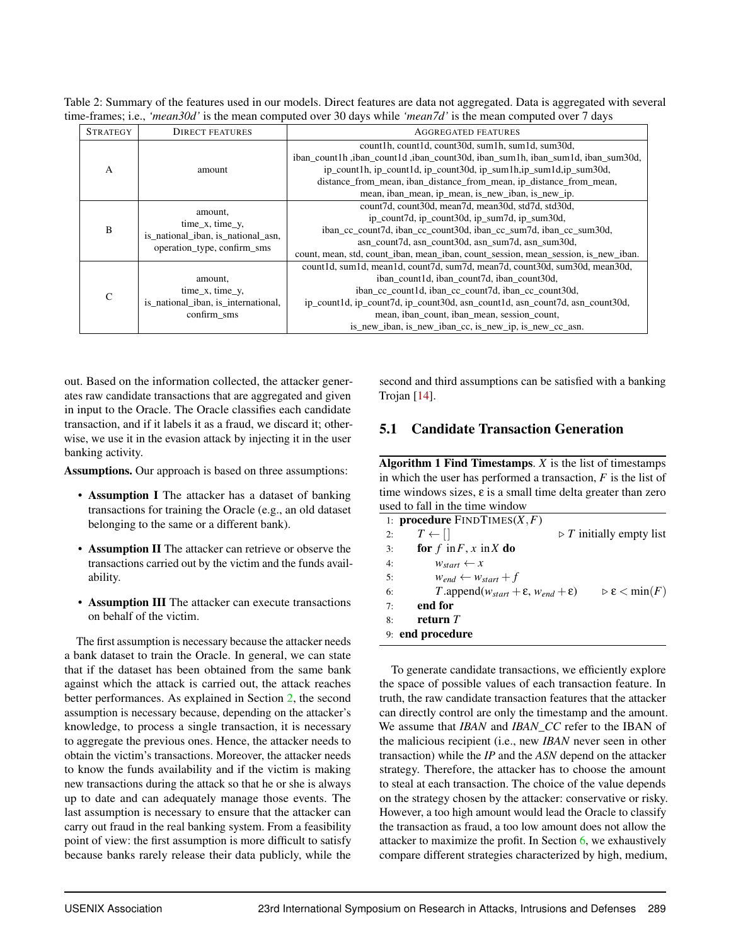<span id="page-4-0"></span>Table 2: Summary of the features used in our models. Direct features are data not aggregated. Data is aggregated with several time-frames; i.e., *'mean30d'* is the mean computed over 30 days while *'mean7d'* is the mean computed over 7 days

| <b>STRATEGY</b> | <b>DIRECT FEATURES</b>                                                                  | <b>AGGREGATED FEATURES</b>                                                         |
|-----------------|-----------------------------------------------------------------------------------------|------------------------------------------------------------------------------------|
|                 |                                                                                         | count1h, count1d, count30d, sum1h, sum1d, sum30d,                                  |
|                 |                                                                                         | iban_count1h, iban_count1d, iban_count30d, iban_sum1h, iban_sum1d, iban_sum30d,    |
| A               | amount                                                                                  | ip_count1h, ip_count1d, ip_count30d, ip_sum1h, ip_sum1d, ip_sum30d,                |
|                 |                                                                                         | distance from mean, iban distance from mean, ip distance from mean,                |
|                 |                                                                                         | mean, iban_mean, ip_mean, is_new_iban, is_new_ip.                                  |
|                 | amount,                                                                                 | count7d, count30d, mean7d, mean30d, std7d, std30d,                                 |
|                 | $time_x$ , time_y,<br>is national iban, is national asn,<br>operation_type, confirm_sms | ip_count7d, ip_count30d, ip_sum7d, ip_sum30d,                                      |
| B               |                                                                                         | iban cc count 7d, iban cc count 30d, iban cc sum 7d, iban cc sum 30d,              |
|                 |                                                                                         | asn count7d, asn count30d, asn sum7d, asn sum30d,                                  |
|                 |                                                                                         | count, mean, std, count_iban, mean_iban, count_session, mean_session, is_new_iban. |
|                 |                                                                                         | count1d, sum1d, mean1d, count7d, sum7d, mean7d, count30d, sum30d, mean30d,         |
| C               | amount,                                                                                 | iban count1d, iban count7d, iban count30d,                                         |
|                 | $time_x$ , time_y,                                                                      | iban cc count1d, iban cc count7d, iban cc count30d,                                |
|                 | is national iban, is international,                                                     | ip_count1d, ip_count7d, ip_count30d, asn_count1d, asn_count7d, asn_count30d,       |
|                 | confirm sms                                                                             | mean, iban_count, iban_mean, session_count,                                        |
|                 |                                                                                         | is new iban, is new iban cc, is new ip, is new cc asn.                             |

out. Based on the information collected, the attacker generates raw candidate transactions that are aggregated and given in input to the Oracle. The Oracle classifies each candidate transaction, and if it labels it as a fraud, we discard it; otherwise, we use it in the evasion attack by injecting it in the user banking activity.

Assumptions. Our approach is based on three assumptions:

- Assumption I The attacker has a dataset of banking transactions for training the Oracle (e.g., an old dataset belonging to the same or a different bank).
- Assumption II The attacker can retrieve or observe the transactions carried out by the victim and the funds availability.
- Assumption III The attacker can execute transactions on behalf of the victim.

The first assumption is necessary because the attacker needs a bank dataset to train the Oracle. In general, we can state that if the dataset has been obtained from the same bank against which the attack is carried out, the attack reaches better performances. As explained in Section [2,](#page-1-1) the second assumption is necessary because, depending on the attacker's knowledge, to process a single transaction, it is necessary to aggregate the previous ones. Hence, the attacker needs to obtain the victim's transactions. Moreover, the attacker needs to know the funds availability and if the victim is making new transactions during the attack so that he or she is always up to date and can adequately manage those events. The last assumption is necessary to ensure that the attacker can carry out fraud in the real banking system. From a feasibility point of view: the first assumption is more difficult to satisfy because banks rarely release their data publicly, while the

second and third assumptions can be satisfied with a banking Trojan [\[14\]](#page-11-13).

## <span id="page-4-2"></span>5.1 Candidate Transaction Generation

Algorithm 1 Find Timestamps. *X* is the list of timestamps in which the user has performed a transaction, *F* is the list of time windows sizes,  $\varepsilon$  is a small time delta greater than zero used to fall in the time window

<span id="page-4-1"></span>

|    | 1: <b>procedure</b> $FINDTIMES(X, F)$                       |                                         |
|----|-------------------------------------------------------------|-----------------------------------------|
| 2: | $T \leftarrow   $                                           | $\triangleright$ T initially empty list |
| 3: | for $f$ in $F$ , $x$ in $X$ do                              |                                         |
| 4: | $W_{start} \leftarrow x$                                    |                                         |
| 5: | $W_{end} \leftarrow W_{start} + f$                          |                                         |
| 6: | T.append $(w_{start} + \varepsilon, w_{end} + \varepsilon)$ | $\triangleright \varepsilon < \min(F)$  |
| 7: | end for                                                     |                                         |
| 8: | return $T$                                                  |                                         |
|    | 9: end procedure                                            |                                         |
|    |                                                             |                                         |

To generate candidate transactions, we efficiently explore the space of possible values of each transaction feature. In truth, the raw candidate transaction features that the attacker can directly control are only the timestamp and the amount. We assume that *IBAN* and *IBAN\_CC* refer to the IBAN of the malicious recipient (i.e., new *IBAN* never seen in other transaction) while the *IP* and the *ASN* depend on the attacker strategy. Therefore, the attacker has to choose the amount to steal at each transaction. The choice of the value depends on the strategy chosen by the attacker: conservative or risky. However, a too high amount would lead the Oracle to classify the transaction as fraud, a too low amount does not allow the attacker to maximize the profit. In Section [6,](#page-6-0) we exhaustively compare different strategies characterized by high, medium,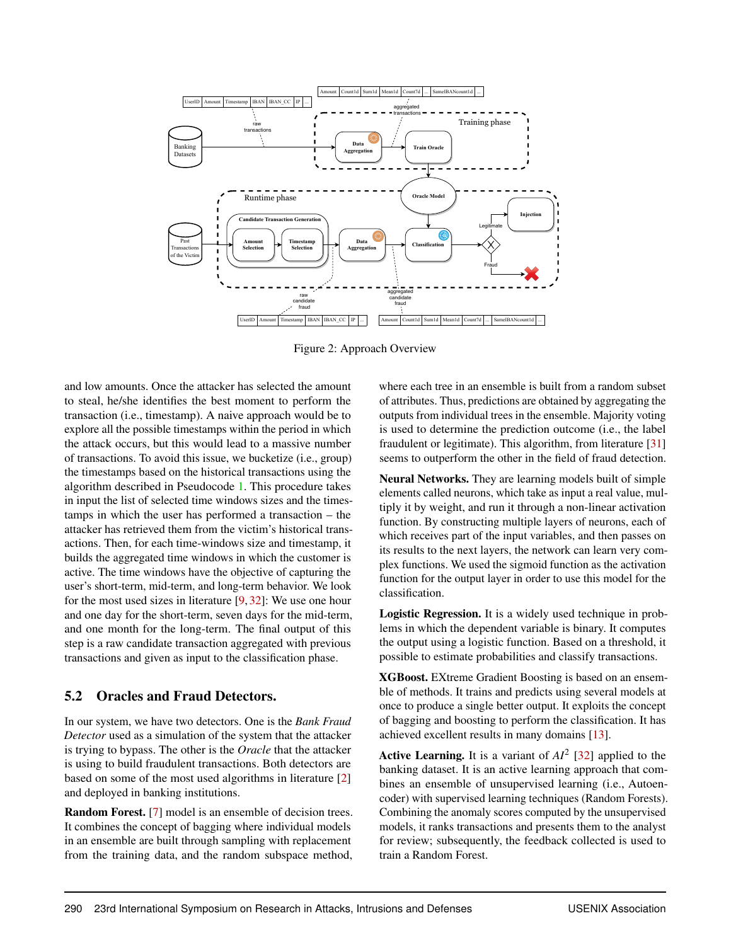

Figure 2: Approach Overview

and low amounts. Once the attacker has selected the amount to steal, he/she identifies the best moment to perform the transaction (i.e., timestamp). A naive approach would be to explore all the possible timestamps within the period in which the attack occurs, but this would lead to a massive number of transactions. To avoid this issue, we bucketize (i.e., group) the timestamps based on the historical transactions using the algorithm described in Pseudocode [1.](#page-4-1) This procedure takes in input the list of selected time windows sizes and the timestamps in which the user has performed a transaction – the attacker has retrieved them from the victim's historical transactions. Then, for each time-windows size and timestamp, it builds the aggregated time windows in which the customer is active. The time windows have the objective of capturing the user's short-term, mid-term, and long-term behavior. We look for the most used sizes in literature [\[9,](#page-11-12) [32\]](#page-12-18): We use one hour and one day for the short-term, seven days for the mid-term, and one month for the long-term. The final output of this step is a raw candidate transaction aggregated with previous transactions and given as input to the classification phase.

# <span id="page-5-1"></span>5.2 Oracles and Fraud Detectors.

In our system, we have two detectors. One is the *Bank Fraud Detector* used as a simulation of the system that the attacker is trying to bypass. The other is the *Oracle* that the attacker is using to build fraudulent transactions. Both detectors are based on some of the most used algorithms in literature [\[2\]](#page-11-6) and deployed in banking institutions.

Random Forest. [\[7\]](#page-11-14) model is an ensemble of decision trees. It combines the concept of bagging where individual models in an ensemble are built through sampling with replacement from the training data, and the random subspace method, <span id="page-5-0"></span>where each tree in an ensemble is built from a random subset of attributes. Thus, predictions are obtained by aggregating the outputs from individual trees in the ensemble. Majority voting is used to determine the prediction outcome (i.e., the label fraudulent or legitimate). This algorithm, from literature [\[31\]](#page-12-17) seems to outperform the other in the field of fraud detection.

Neural Networks. They are learning models built of simple elements called neurons, which take as input a real value, multiply it by weight, and run it through a non-linear activation function. By constructing multiple layers of neurons, each of which receives part of the input variables, and then passes on its results to the next layers, the network can learn very complex functions. We used the sigmoid function as the activation function for the output layer in order to use this model for the classification.

Logistic Regression. It is a widely used technique in problems in which the dependent variable is binary. It computes the output using a logistic function. Based on a threshold, it possible to estimate probabilities and classify transactions.

XGBoost. EXtreme Gradient Boosting is based on an ensemble of methods. It trains and predicts using several models at once to produce a single better output. It exploits the concept of bagging and boosting to perform the classification. It has achieved excellent results in many domains [\[13\]](#page-11-15).

**Active Learning.** It is a variant of  $AI^2$  [\[32\]](#page-12-18) applied to the banking dataset. It is an active learning approach that combines an ensemble of unsupervised learning (i.e., Autoencoder) with supervised learning techniques (Random Forests). Combining the anomaly scores computed by the unsupervised models, it ranks transactions and presents them to the analyst for review; subsequently, the feedback collected is used to train a Random Forest.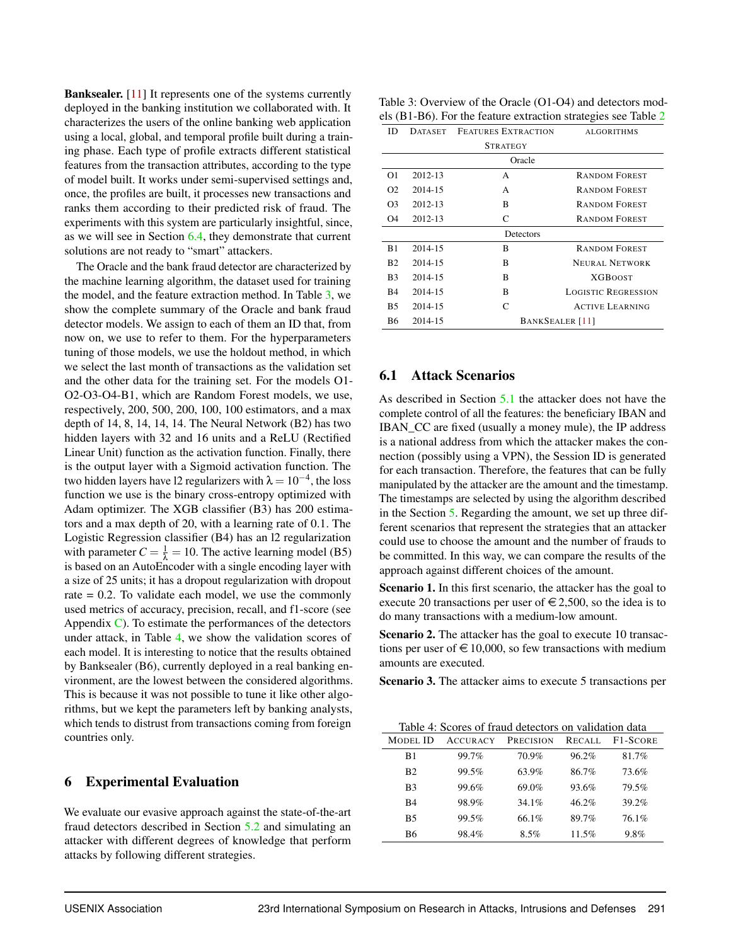Banksealer. [\[11\]](#page-11-2) It represents one of the systems currently deployed in the banking institution we collaborated with. It characterizes the users of the online banking web application using a local, global, and temporal profile built during a training phase. Each type of profile extracts different statistical features from the transaction attributes, according to the type of model built. It works under semi-supervised settings and, once, the profiles are built, it processes new transactions and ranks them according to their predicted risk of fraud. The experiments with this system are particularly insightful, since, as we will see in Section [6.4,](#page-8-0) they demonstrate that current solutions are not ready to "smart" attackers.

The Oracle and the bank fraud detector are characterized by the machine learning algorithm, the dataset used for training the model, and the feature extraction method. In Table [3,](#page-6-1) we show the complete summary of the Oracle and bank fraud detector models. We assign to each of them an ID that, from now on, we use to refer to them. For the hyperparameters tuning of those models, we use the holdout method, in which we select the last month of transactions as the validation set and the other data for the training set. For the models O1- O2-O3-O4-B1, which are Random Forest models, we use, respectively, 200, 500, 200, 100, 100 estimators, and a max depth of 14, 8, 14, 14, 14. The Neural Network (B2) has two hidden layers with 32 and 16 units and a ReLU (Rectified Linear Unit) function as the activation function. Finally, there is the output layer with a Sigmoid activation function. The two hidden layers have l2 regularizers with  $\lambda = 10^{-4}$ , the loss function we use is the binary cross-entropy optimized with Adam optimizer. The XGB classifier (B3) has 200 estimators and a max depth of 20, with a learning rate of 0.1. The Logistic Regression classifier (B4) has an l2 regularization with parameter  $C = \frac{1}{\lambda} = 10$ . The active learning model (B5) is based on an AutoEncoder with a single encoding layer with a size of 25 units; it has a dropout regularization with dropout rate  $= 0.2$ . To validate each model, we use the commonly used metrics of accuracy, precision, recall, and f1-score (see Appendix [C\)](#page-15-0). To estimate the performances of the detectors under attack, in Table [4,](#page-6-2) we show the validation scores of each model. It is interesting to notice that the results obtained by Banksealer (B6), currently deployed in a real banking environment, are the lowest between the considered algorithms. This is because it was not possible to tune it like other algorithms, but we kept the parameters left by banking analysts, which tends to distrust from transactions coming from foreign countries only.

#### <span id="page-6-0"></span>6 Experimental Evaluation

We evaluate our evasive approach against the state-of-the-art fraud detectors described in Section [5.2](#page-5-1) and simulating an attacker with different degrees of knowledge that perform attacks by following different strategies.

<span id="page-6-1"></span>

| Table 3: Overview of the Oracle (O1-O4) and detectors mod-     |
|----------------------------------------------------------------|
| els (B1-B6). For the feature extraction strategies see Table 2 |

|                |         | $\frac{1}{2}$ . $\frac{1}{2}$ . $\frac{1}{2}$ . The region $\frac{1}{2}$ changes on $\frac{1}{2}$ . The region of $\frac{1}{2}$ |                            |
|----------------|---------|---------------------------------------------------------------------------------------------------------------------------------|----------------------------|
| ID             |         | DATASET FEATURES EXTRACTION                                                                                                     | <b>ALGORITHMS</b>          |
|                |         | <b>STRATEGY</b>                                                                                                                 |                            |
|                |         | Oracle                                                                                                                          |                            |
| O <sub>1</sub> | 2012-13 | А                                                                                                                               | <b>RANDOM FOREST</b>       |
| O <sub>2</sub> | 2014-15 | А                                                                                                                               | <b>RANDOM FOREST</b>       |
| O <sub>3</sub> | 2012-13 | B                                                                                                                               | <b>RANDOM FOREST</b>       |
| O4             | 2012-13 | C                                                                                                                               | <b>RANDOM FOREST</b>       |
|                |         | Detectors                                                                                                                       |                            |
| B1             | 2014-15 | B                                                                                                                               | <b>RANDOM FOREST</b>       |
| B2             | 2014-15 | B                                                                                                                               | <b>NEURAL NETWORK</b>      |
| B <sub>3</sub> | 2014-15 | B                                                                                                                               | <b>XGBOOST</b>             |
| B4             | 2014-15 | B                                                                                                                               | <b>LOGISTIC REGRESSION</b> |
| <b>B5</b>      | 2014-15 | C                                                                                                                               | <b>ACTIVE LEARNING</b>     |
| <b>B6</b>      | 2014-15 | BANKSEALER <sup>[11]</sup>                                                                                                      |                            |

### 6.1 Attack Scenarios

As described in Section [5.1](#page-4-2) the attacker does not have the complete control of all the features: the beneficiary IBAN and IBAN\_CC are fixed (usually a money mule), the IP address is a national address from which the attacker makes the connection (possibly using a VPN), the Session ID is generated for each transaction. Therefore, the features that can be fully manipulated by the attacker are the amount and the timestamp. The timestamps are selected by using the algorithm described in the Section [5.](#page-3-3) Regarding the amount, we set up three different scenarios that represent the strategies that an attacker could use to choose the amount and the number of frauds to be committed. In this way, we can compare the results of the approach against different choices of the amount.

Scenario 1. In this first scenario, the attacker has the goal to execute 20 transactions per user of  $\in 2,500$ , so the idea is to do many transactions with a medium-low amount.

Scenario 2. The attacker has the goal to execute 10 transactions per user of  $\in$  10,000, so few transactions with medium amounts are executed.

Scenario 3. The attacker aims to execute 5 transactions per

<span id="page-6-2"></span>

|                | Table 4: Scores of fraud detectors on validation data |                  |          |          |
|----------------|-------------------------------------------------------|------------------|----------|----------|
| MODEL ID       | <b>ACCURACY</b>                                       | <b>PRECISION</b> | RECALL   | F1-SCORE |
| B1             | 99.7%                                                 | 70.9%            | 96.2%    | 81.7%    |
| B <sub>2</sub> | 99.5%                                                 | 63.9%            | 86.7%    | 73.6%    |
| B <sub>3</sub> | 99.6%                                                 | 69.0%            | 93.6%    | 79.5%    |
| <b>B4</b>      | 98.9%                                                 | 34.1%            | $46.2\%$ | 39.2%    |
| <b>B5</b>      | 99.5%                                                 | 66.1%            | 89.7%    | 76.1%    |
| <b>B6</b>      | 98.4%                                                 | $8.5\%$          | 11.5%    | 9.8%     |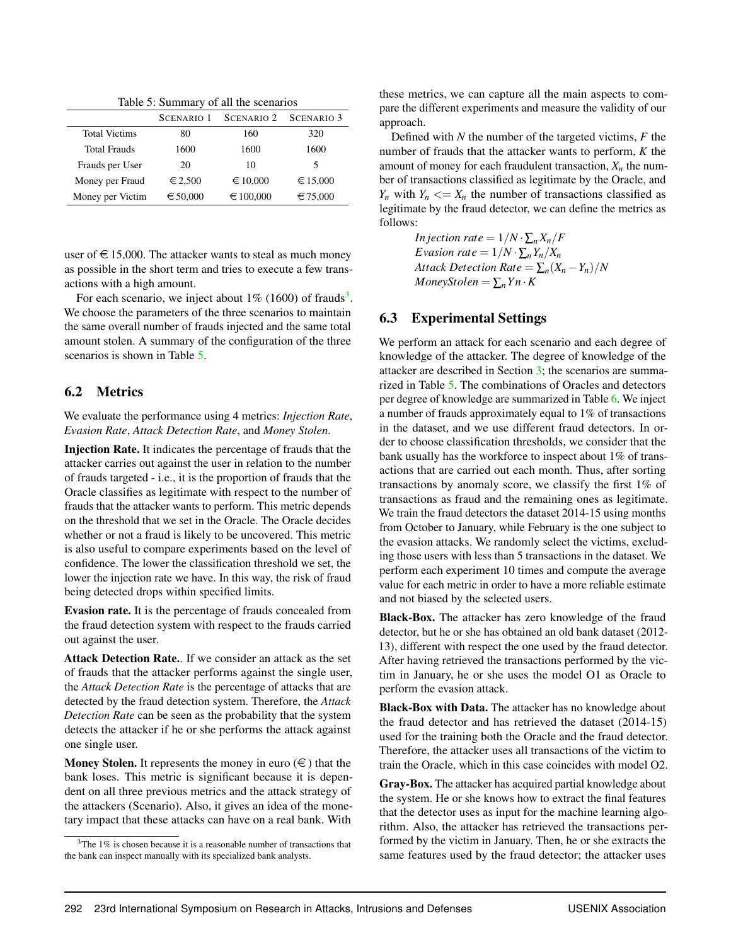Table 5: Summary of all the scenarios

<span id="page-7-1"></span>

|                      | SCENARIO <sub>1</sub> | SCENARIO 2 SCENARIO 3 |          |
|----------------------|-----------------------|-----------------------|----------|
| <b>Total Victims</b> | 80                    | 160                   | 320      |
| <b>Total Frauds</b>  | 1600                  | 1600                  | 1600     |
| Frauds per User      | 20                    | 10                    | 5        |
| Money per Fraud      | $\epsilon$ 2,500      | € 10,000              | € 15,000 |
| Money per Victim     | € 50,000              | € 100,000             | € 75,000 |

user of  $\in$  15,000. The attacker wants to steal as much money as possible in the short term and tries to execute a few transactions with a high amount.

For each scenario, we inject about  $1\%$  (1600) of frauds<sup>[3](#page-7-0)</sup>. We choose the parameters of the three scenarios to maintain the same overall number of frauds injected and the same total amount stolen. A summary of the configuration of the three scenarios is shown in Table [5.](#page-7-1)

### 6.2 Metrics

We evaluate the performance using 4 metrics: *Injection Rate*, *Evasion Rate*, *Attack Detection Rate*, and *Money Stolen*.

Injection Rate. It indicates the percentage of frauds that the attacker carries out against the user in relation to the number of frauds targeted - i.e., it is the proportion of frauds that the Oracle classifies as legitimate with respect to the number of frauds that the attacker wants to perform. This metric depends on the threshold that we set in the Oracle. The Oracle decides whether or not a fraud is likely to be uncovered. This metric is also useful to compare experiments based on the level of confidence. The lower the classification threshold we set, the lower the injection rate we have. In this way, the risk of fraud being detected drops within specified limits.

Evasion rate. It is the percentage of frauds concealed from the fraud detection system with respect to the frauds carried out against the user.

Attack Detection Rate.. If we consider an attack as the set of frauds that the attacker performs against the single user, the *Attack Detection Rate* is the percentage of attacks that are detected by the fraud detection system. Therefore, the *Attack Detection Rate* can be seen as the probability that the system detects the attacker if he or she performs the attack against one single user.

Money Stolen. It represents the money in euro  $(\epsilon)$  that the bank loses. This metric is significant because it is dependent on all three previous metrics and the attack strategy of the attackers (Scenario). Also, it gives an idea of the monetary impact that these attacks can have on a real bank. With

these metrics, we can capture all the main aspects to compare the different experiments and measure the validity of our approach.

Defined with *N* the number of the targeted victims, *F* the number of frauds that the attacker wants to perform, *K* the amount of money for each fraudulent transaction,  $X_n$  the number of transactions classified as legitimate by the Oracle, and *Y<sub>n</sub>* with  $Y_n \leq X_n$  the number of transactions classified as legitimate by the fraud detector, we can define the metrics as follows:

> *In jection rate* =  $1/N \cdot \sum_{n} X_n/F$ *Evasion rate* =  $1/N \cdot \sum_{n} Y_n/X_n$ *Attack Detection Rate* =  $\sum_{n}(X_{n}-Y_{n})/N$ *MoneyStolen* =  $\sum_{n} Y_n \cdot K$

# 6.3 Experimental Settings

We perform an attack for each scenario and each degree of knowledge of the attacker. The degree of knowledge of the attacker are described in Section [3;](#page-1-2) the scenarios are summarized in Table [5.](#page-7-1) The combinations of Oracles and detectors per degree of knowledge are summarized in Table [6.](#page-8-1) We inject a number of frauds approximately equal to 1% of transactions in the dataset, and we use different fraud detectors. In order to choose classification thresholds, we consider that the bank usually has the workforce to inspect about 1% of transactions that are carried out each month. Thus, after sorting transactions by anomaly score, we classify the first 1% of transactions as fraud and the remaining ones as legitimate. We train the fraud detectors the dataset 2014-15 using months from October to January, while February is the one subject to the evasion attacks. We randomly select the victims, excluding those users with less than 5 transactions in the dataset. We perform each experiment 10 times and compute the average value for each metric in order to have a more reliable estimate and not biased by the selected users.

Black-Box. The attacker has zero knowledge of the fraud detector, but he or she has obtained an old bank dataset (2012- 13), different with respect the one used by the fraud detector. After having retrieved the transactions performed by the victim in January, he or she uses the model O1 as Oracle to perform the evasion attack.

Black-Box with Data. The attacker has no knowledge about the fraud detector and has retrieved the dataset (2014-15) used for the training both the Oracle and the fraud detector. Therefore, the attacker uses all transactions of the victim to train the Oracle, which in this case coincides with model O2.

Gray-Box. The attacker has acquired partial knowledge about the system. He or she knows how to extract the final features that the detector uses as input for the machine learning algorithm. Also, the attacker has retrieved the transactions performed by the victim in January. Then, he or she extracts the same features used by the fraud detector; the attacker uses

<span id="page-7-0"></span> $3$ The 1% is chosen because it is a reasonable number of transactions that the bank can inspect manually with its specialized bank analysts.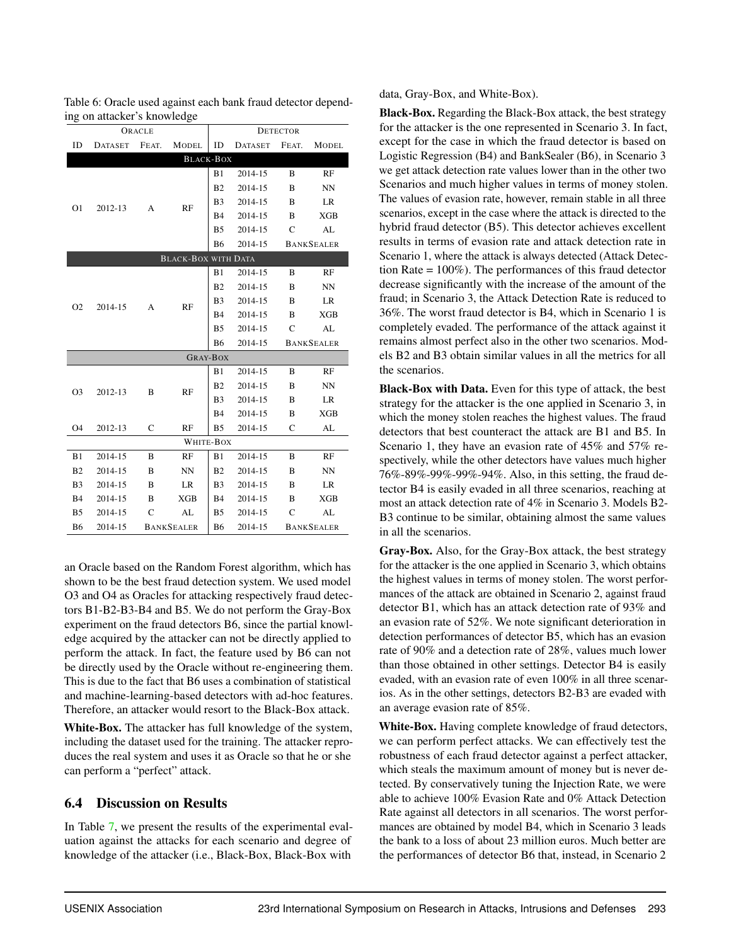<span id="page-8-1"></span>

|    | Table 6: Oracle used against each bank fraud detector depend- |        |                  |    |                                      |                 |       |
|----|---------------------------------------------------------------|--------|------------------|----|--------------------------------------|-----------------|-------|
|    | ing on attacker's knowledge                                   |        |                  |    |                                      |                 |       |
|    |                                                               | ORACLE |                  |    |                                      | <b>DETECTOR</b> |       |
| ID |                                                               |        |                  |    | DATASET FEAT. MODEL ID DATASET FEAT. |                 | MODEL |
|    |                                                               |        | <b>BLACK-BOX</b> |    |                                      |                 |       |
|    |                                                               |        |                  | B1 | 2014-15                              |                 | RF    |

|                 |         |              | <b>BLACK-BOX</b>           |                |         |    |                   |
|-----------------|---------|--------------|----------------------------|----------------|---------|----|-------------------|
|                 |         |              |                            | B1             | 2014-15 | B  | RF                |
|                 |         |              |                            | B <sub>2</sub> | 2014-15 | B  | <b>NN</b>         |
| O1              | 2012-13 | А            | RF                         | B <sub>3</sub> | 2014-15 | B  | LR                |
|                 |         |              |                            | <b>B</b> 4     | 2014-15 | B  | <b>XGB</b>        |
|                 |         |              |                            | B <sub>5</sub> | 2014-15 | C  | AL                |
|                 |         |              |                            | <b>B6</b>      | 2014-15 |    | <b>BANKSEALER</b> |
|                 |         |              | <b>BLACK-BOX WITH DATA</b> |                |         |    |                   |
|                 |         |              |                            | B1             | 2014-15 | B  | RF                |
|                 |         |              |                            | B <sub>2</sub> | 2014-15 | B  | <b>NN</b>         |
| O <sub>2</sub>  | 2014-15 | A            | RF                         | B <sub>3</sub> | 2014-15 | B  | LR                |
|                 |         |              |                            | <b>B</b> 4     | 2014-15 | B  | <b>XGB</b>        |
|                 |         |              |                            | B <sub>5</sub> | 2014-15 | C  | AL                |
|                 |         |              |                            | <b>B6</b>      | 2014-15 |    | <b>BANKSEALER</b> |
| <b>GRAY-BOX</b> |         |              |                            |                |         |    |                   |
|                 |         |              |                            | B1             | 2014-15 | B  | RF                |
| O <sub>3</sub>  | 2012-13 | B            | RF                         | B <sub>2</sub> | 2014-15 | B  | <b>NN</b>         |
|                 |         |              | B <sub>3</sub>             | 2014-15        | B       | LR |                   |
|                 |         |              |                            | <b>B</b> 4     | 2014-15 | B  | <b>XGB</b>        |
| O <sub>4</sub>  | 2012-13 | $\mathsf{C}$ | RF                         | B <sub>5</sub> | 2014-15 | C  | AL                |
| WHITE-BOX       |         |              |                            |                |         |    |                   |
| B1              | 2014-15 | B            | RF                         | <b>B</b> 1     | 2014-15 | B  | RF                |
| B <sub>2</sub>  | 2014-15 | B            | NN                         | B <sub>2</sub> | 2014-15 | B  | NN                |
| B <sub>3</sub>  | 2014-15 | B            | LR                         | B <sub>3</sub> | 2014-15 | B  | LR                |
| <b>B4</b>       | 2014-15 | B            | <b>XGB</b>                 | <b>B4</b>      | 2014-15 | B  | <b>XGB</b>        |
| B <sub>5</sub>  | 2014-15 | C            | AL                         | B <sub>5</sub> | 2014-15 | C  | AL                |
| <b>B6</b>       | 2014-15 |              | <b>BANKSEALER</b>          | <b>B6</b>      | 2014-15 |    | <b>BANKSEALER</b> |

an Oracle based on the Random Forest algorithm, which has shown to be the best fraud detection system. We used model O3 and O4 as Oracles for attacking respectively fraud detectors B1-B2-B3-B4 and B5. We do not perform the Gray-Box experiment on the fraud detectors B6, since the partial knowledge acquired by the attacker can not be directly applied to perform the attack. In fact, the feature used by B6 can not be directly used by the Oracle without re-engineering them. This is due to the fact that B6 uses a combination of statistical and machine-learning-based detectors with ad-hoc features. Therefore, an attacker would resort to the Black-Box attack.

White-Box. The attacker has full knowledge of the system, including the dataset used for the training. The attacker reproduces the real system and uses it as Oracle so that he or she can perform a "perfect" attack.

# <span id="page-8-0"></span>6.4 Discussion on Results

In Table [7,](#page-9-0) we present the results of the experimental evaluation against the attacks for each scenario and degree of knowledge of the attacker (i.e., Black-Box, Black-Box with

data, Gray-Box, and White-Box).

Black-Box. Regarding the Black-Box attack, the best strategy for the attacker is the one represented in Scenario 3. In fact, except for the case in which the fraud detector is based on Logistic Regression (B4) and BankSealer (B6), in Scenario 3 we get attack detection rate values lower than in the other two Scenarios and much higher values in terms of money stolen. The values of evasion rate, however, remain stable in all three scenarios, except in the case where the attack is directed to the hybrid fraud detector (B5). This detector achieves excellent results in terms of evasion rate and attack detection rate in Scenario 1, where the attack is always detected (Attack Detection Rate = 100%). The performances of this fraud detector decrease significantly with the increase of the amount of the fraud; in Scenario 3, the Attack Detection Rate is reduced to 36%. The worst fraud detector is B4, which in Scenario 1 is completely evaded. The performance of the attack against it remains almost perfect also in the other two scenarios. Models B2 and B3 obtain similar values in all the metrics for all the scenarios.

Black-Box with Data. Even for this type of attack, the best strategy for the attacker is the one applied in Scenario 3, in which the money stolen reaches the highest values. The fraud detectors that best counteract the attack are B1 and B5. In Scenario 1, they have an evasion rate of 45% and 57% respectively, while the other detectors have values much higher 76%-89%-99%-99%-94%. Also, in this setting, the fraud detector B4 is easily evaded in all three scenarios, reaching at most an attack detection rate of 4% in Scenario 3. Models B2- B3 continue to be similar, obtaining almost the same values in all the scenarios.

Gray-Box. Also, for the Gray-Box attack, the best strategy for the attacker is the one applied in Scenario 3, which obtains the highest values in terms of money stolen. The worst performances of the attack are obtained in Scenario 2, against fraud detector B1, which has an attack detection rate of 93% and an evasion rate of 52%. We note significant deterioration in detection performances of detector B5, which has an evasion rate of 90% and a detection rate of 28%, values much lower than those obtained in other settings. Detector B4 is easily evaded, with an evasion rate of even 100% in all three scenarios. As in the other settings, detectors B2-B3 are evaded with an average evasion rate of 85%.

White-Box. Having complete knowledge of fraud detectors, we can perform perfect attacks. We can effectively test the robustness of each fraud detector against a perfect attacker, which steals the maximum amount of money but is never detected. By conservatively tuning the Injection Rate, we were able to achieve 100% Evasion Rate and 0% Attack Detection Rate against all detectors in all scenarios. The worst performances are obtained by model B4, which in Scenario 3 leads the bank to a loss of about 23 million euros. Much better are the performances of detector B6 that, instead, in Scenario 2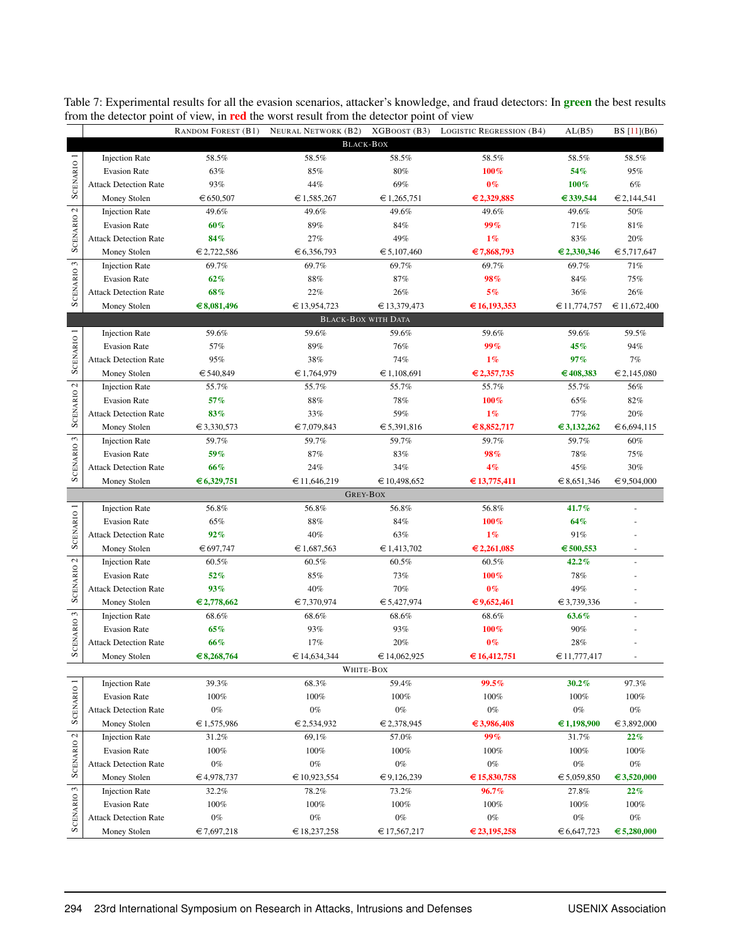| RANDOM FOREST (B1) NEURAL NETWORK (B2) XGBOOST (B3) LOGISTIC REGRESSION (B4)<br><b>BLACK-BOX</b><br>SCENARIO <sub>1</sub><br>58.5%<br>58.5%<br>58.5%<br>58.5%<br>58.5%<br>58.5%<br><b>Injection Rate</b><br>63%<br>85%<br>80%<br>100%<br>54%<br>95%<br><b>Evasion Rate</b><br>93%<br>44%<br>69%<br>$0\%$<br>100%<br>$6\%$<br><b>Attack Detection Rate</b><br>€ 1,585,267<br>€ 1,265,751<br>€ 2,329,885<br>€ 339,544<br>€ 2,144,541<br>Money Stolen<br>€ 650,507<br>SCENARIO <sub>2</sub><br>49.6%<br><b>Injection Rate</b><br>49.6%<br>49.6%<br>49.6%<br>49.6%<br>50%<br>60%<br>89%<br>84%<br>99%<br>71%<br>81%<br><b>Evasion Rate</b><br>84%<br>27%<br>49%<br>$1\%$<br>83%<br>20%<br><b>Attack Detection Rate</b><br>€ 2,722,586<br>€ 6,356,793<br>€ 5,107,460<br>€7,868,793<br>€ 2,330,346<br>€ 5,717,647<br>Money Stolen<br>SCENARIO <sub>3</sub><br>69.7%<br>69.7%<br>69.7%<br>69.7%<br>69.7%<br>71%<br><b>Injection Rate</b><br>62%<br>$88\%$<br>87%<br>98%<br>84%<br>75%<br><b>Evasion Rate</b><br>68%<br>22%<br>5%<br>26%<br><b>Attack Detection Rate</b><br>26%<br>36%<br>Money Stolen<br>€8,081,496<br>€ 13,954,723<br>€ 13,379,473<br>€16,193,353<br>€ 11,672,400<br>€11,774,757<br><b>BLACK-BOX WITH DATA</b><br>SCENARIO <sub>1</sub><br><b>Injection Rate</b><br>59.6%<br>59.6%<br>59.6%<br>59.6%<br>59.6%<br>59.5%<br>57%<br>89%<br>99%<br>45%<br>94%<br><b>Evasion Rate</b><br>76%<br>95%<br>38%<br>74%<br>$1\%$<br>97%<br>7%<br><b>Attack Detection Rate</b><br>€ 540,849<br>€ 1,764,979<br>€ 1,108,691<br>€ 2,357,735<br>€408,383<br>€ 2,145,080<br>Money Stolen<br>SCENARIO <sub>2</sub><br>55.7%<br>55.7%<br>55.7%<br><b>Injection Rate</b><br>55.7%<br>55.7%<br>56%<br>57%<br>88%<br>78%<br>100%<br>65%<br>82%<br><b>Evasion Rate</b><br>33%<br>59%<br>$1\%$<br>77%<br>20%<br><b>Attack Detection Rate</b><br>83%<br>Money Stolen<br>€ 3,330,573<br>€7,079,843<br>€ 5,391,816<br>€ 8,852,717<br>€ 3,132,262<br>€ 6,694,115<br><b>SCENARIO3</b><br>59.7%<br>59.7%<br>59.7%<br>59.7%<br>59.7%<br><b>Injection Rate</b><br>60%<br>59%<br>$87\%$<br>83%<br>98%<br>78%<br>75%<br><b>Evasion Rate</b><br>66%<br>24%<br>34%<br>4%<br>45%<br>30%<br><b>Attack Detection Rate</b><br>€ 6,329,751<br>€11,646,219<br>€ 10,498,652<br>€13,775,411<br>€ 9,504,000<br>Money Stolen<br>€ 8,651,346<br><b>GREY-BOX</b><br>SCENARIO <sub>1</sub><br>56.8%<br>56.8%<br>56.8%<br>41.7%<br><b>Injection Rate</b><br>56.8%<br>100%<br>64%<br><b>Evasion Rate</b><br>65%<br>88%<br>84%<br>$1\%$<br>91%<br><b>Attack Detection Rate</b><br>92%<br>40%<br>63%<br>€ 697,747<br>€ 1,687,563<br>€ 1,413,702<br>€ 2,261,085<br>€ 500,553<br>Money Stolen<br>SCENARIO <sub>2</sub><br>60.5%<br>42.2%<br><b>Injection Rate</b><br>60.5%<br>60.5%<br>60.5%<br>52%<br>$85\%$<br>100%<br><b>Evasion Rate</b><br>73%<br>78%<br>93%<br>40%<br>70%<br>$0\%$<br>49%<br><b>Attack Detection Rate</b><br>€ 2,778,662<br>€7,370,974<br>€ 5,427,974<br>€9,652,461<br>€ 3,739,336<br>Money Stolen<br>CENARIO <sub>3</sub><br>63.6%<br><b>Injection Rate</b><br>68.6%<br>68.6%<br>68.6%<br>68.6%<br>100%<br>90%<br><b>Evasion Rate</b><br>65%<br>93%<br>93%<br>17%<br>$0\%$<br>66%<br>20%<br>28%<br><b>Attack Detection Rate</b><br>s<br>Money Stolen<br>€8,268,764<br>€ 14,634,344<br>€ 14,062,925<br>€ 16,412,751<br>€11,777,417<br>$\overline{\phantom{a}}$<br>WHITE-BOX<br>SCENARIO 1<br><b>Injection Rate</b><br>39.3%<br>68.3%<br>59.4%<br>99.5%<br>30.2%<br>97.3%<br><b>Evasion Rate</b><br>100%<br>100%<br>100%<br>100%<br>100%<br>100%<br>$0\%$<br>$0\%$<br>$0\%$<br>$0\%$<br>$0\%$<br>$0\%$<br><b>Attack Detection Rate</b><br>€ 2,378,945<br>Money Stolen<br>€ 1,575,986<br>€ 2,534,932<br>€ 3,986,408<br>€1,198,900<br>€ 3,892,000<br>99%<br>69,1%<br>57.0%<br>31.7%<br>22%<br><b>Injection Rate</b><br>31.2%<br><b>Evasion Rate</b><br>100%<br>100%<br>100%<br>100%<br>100%<br>100%<br>$0\%$<br>$0\%$<br>$0\%$<br>$0\%$<br>$0\%$<br>$0\%$<br><b>Attack Detection Rate</b> |                       |              |            | moin the actector point of view, in <b>fea</b> the worst result from the actector point of view |             |             |             |             |
|-----------------------------------------------------------------------------------------------------------------------------------------------------------------------------------------------------------------------------------------------------------------------------------------------------------------------------------------------------------------------------------------------------------------------------------------------------------------------------------------------------------------------------------------------------------------------------------------------------------------------------------------------------------------------------------------------------------------------------------------------------------------------------------------------------------------------------------------------------------------------------------------------------------------------------------------------------------------------------------------------------------------------------------------------------------------------------------------------------------------------------------------------------------------------------------------------------------------------------------------------------------------------------------------------------------------------------------------------------------------------------------------------------------------------------------------------------------------------------------------------------------------------------------------------------------------------------------------------------------------------------------------------------------------------------------------------------------------------------------------------------------------------------------------------------------------------------------------------------------------------------------------------------------------------------------------------------------------------------------------------------------------------------------------------------------------------------------------------------------------------------------------------------------------------------------------------------------------------------------------------------------------------------------------------------------------------------------------------------------------------------------------------------------------------------------------------------------------------------------------------------------------------------------------------------------------------------------------------------------------------------------------------------------------------------------------------------------------------------------------------------------------------------------------------------------------------------------------------------------------------------------------------------------------------------------------------------------------------------------------------------------------------------------------------------------------------------------------------------------------------------------------------------------------------------------------------------------------------------------------------------------------------------------------------------------------------------------------------------------------------------------------------------------------------------------------------------------------------------------------------------------------------------------------------------------------------------------------------------------------------------------------------------------------------------------------------------------------------------------------------------------------------------------------------------------------------------------------------------------------------------------------------------------------------------------------------------------------|-----------------------|--------------|------------|-------------------------------------------------------------------------------------------------|-------------|-------------|-------------|-------------|
|                                                                                                                                                                                                                                                                                                                                                                                                                                                                                                                                                                                                                                                                                                                                                                                                                                                                                                                                                                                                                                                                                                                                                                                                                                                                                                                                                                                                                                                                                                                                                                                                                                                                                                                                                                                                                                                                                                                                                                                                                                                                                                                                                                                                                                                                                                                                                                                                                                                                                                                                                                                                                                                                                                                                                                                                                                                                                                                                                                                                                                                                                                                                                                                                                                                                                                                                                                                                                                                                                                                                                                                                                                                                                                                                                                                                                                                                                                                                                                 |                       |              |            |                                                                                                 |             |             | AL(B5)      | BS [11](B6) |
|                                                                                                                                                                                                                                                                                                                                                                                                                                                                                                                                                                                                                                                                                                                                                                                                                                                                                                                                                                                                                                                                                                                                                                                                                                                                                                                                                                                                                                                                                                                                                                                                                                                                                                                                                                                                                                                                                                                                                                                                                                                                                                                                                                                                                                                                                                                                                                                                                                                                                                                                                                                                                                                                                                                                                                                                                                                                                                                                                                                                                                                                                                                                                                                                                                                                                                                                                                                                                                                                                                                                                                                                                                                                                                                                                                                                                                                                                                                                                                 |                       |              |            |                                                                                                 |             |             |             |             |
|                                                                                                                                                                                                                                                                                                                                                                                                                                                                                                                                                                                                                                                                                                                                                                                                                                                                                                                                                                                                                                                                                                                                                                                                                                                                                                                                                                                                                                                                                                                                                                                                                                                                                                                                                                                                                                                                                                                                                                                                                                                                                                                                                                                                                                                                                                                                                                                                                                                                                                                                                                                                                                                                                                                                                                                                                                                                                                                                                                                                                                                                                                                                                                                                                                                                                                                                                                                                                                                                                                                                                                                                                                                                                                                                                                                                                                                                                                                                                                 |                       |              |            |                                                                                                 |             |             |             |             |
|                                                                                                                                                                                                                                                                                                                                                                                                                                                                                                                                                                                                                                                                                                                                                                                                                                                                                                                                                                                                                                                                                                                                                                                                                                                                                                                                                                                                                                                                                                                                                                                                                                                                                                                                                                                                                                                                                                                                                                                                                                                                                                                                                                                                                                                                                                                                                                                                                                                                                                                                                                                                                                                                                                                                                                                                                                                                                                                                                                                                                                                                                                                                                                                                                                                                                                                                                                                                                                                                                                                                                                                                                                                                                                                                                                                                                                                                                                                                                                 |                       |              |            |                                                                                                 |             |             |             |             |
|                                                                                                                                                                                                                                                                                                                                                                                                                                                                                                                                                                                                                                                                                                                                                                                                                                                                                                                                                                                                                                                                                                                                                                                                                                                                                                                                                                                                                                                                                                                                                                                                                                                                                                                                                                                                                                                                                                                                                                                                                                                                                                                                                                                                                                                                                                                                                                                                                                                                                                                                                                                                                                                                                                                                                                                                                                                                                                                                                                                                                                                                                                                                                                                                                                                                                                                                                                                                                                                                                                                                                                                                                                                                                                                                                                                                                                                                                                                                                                 |                       |              |            |                                                                                                 |             |             |             |             |
|                                                                                                                                                                                                                                                                                                                                                                                                                                                                                                                                                                                                                                                                                                                                                                                                                                                                                                                                                                                                                                                                                                                                                                                                                                                                                                                                                                                                                                                                                                                                                                                                                                                                                                                                                                                                                                                                                                                                                                                                                                                                                                                                                                                                                                                                                                                                                                                                                                                                                                                                                                                                                                                                                                                                                                                                                                                                                                                                                                                                                                                                                                                                                                                                                                                                                                                                                                                                                                                                                                                                                                                                                                                                                                                                                                                                                                                                                                                                                                 |                       |              |            |                                                                                                 |             |             |             |             |
|                                                                                                                                                                                                                                                                                                                                                                                                                                                                                                                                                                                                                                                                                                                                                                                                                                                                                                                                                                                                                                                                                                                                                                                                                                                                                                                                                                                                                                                                                                                                                                                                                                                                                                                                                                                                                                                                                                                                                                                                                                                                                                                                                                                                                                                                                                                                                                                                                                                                                                                                                                                                                                                                                                                                                                                                                                                                                                                                                                                                                                                                                                                                                                                                                                                                                                                                                                                                                                                                                                                                                                                                                                                                                                                                                                                                                                                                                                                                                                 |                       |              |            |                                                                                                 |             |             |             |             |
|                                                                                                                                                                                                                                                                                                                                                                                                                                                                                                                                                                                                                                                                                                                                                                                                                                                                                                                                                                                                                                                                                                                                                                                                                                                                                                                                                                                                                                                                                                                                                                                                                                                                                                                                                                                                                                                                                                                                                                                                                                                                                                                                                                                                                                                                                                                                                                                                                                                                                                                                                                                                                                                                                                                                                                                                                                                                                                                                                                                                                                                                                                                                                                                                                                                                                                                                                                                                                                                                                                                                                                                                                                                                                                                                                                                                                                                                                                                                                                 |                       |              |            |                                                                                                 |             |             |             |             |
|                                                                                                                                                                                                                                                                                                                                                                                                                                                                                                                                                                                                                                                                                                                                                                                                                                                                                                                                                                                                                                                                                                                                                                                                                                                                                                                                                                                                                                                                                                                                                                                                                                                                                                                                                                                                                                                                                                                                                                                                                                                                                                                                                                                                                                                                                                                                                                                                                                                                                                                                                                                                                                                                                                                                                                                                                                                                                                                                                                                                                                                                                                                                                                                                                                                                                                                                                                                                                                                                                                                                                                                                                                                                                                                                                                                                                                                                                                                                                                 |                       |              |            |                                                                                                 |             |             |             |             |
|                                                                                                                                                                                                                                                                                                                                                                                                                                                                                                                                                                                                                                                                                                                                                                                                                                                                                                                                                                                                                                                                                                                                                                                                                                                                                                                                                                                                                                                                                                                                                                                                                                                                                                                                                                                                                                                                                                                                                                                                                                                                                                                                                                                                                                                                                                                                                                                                                                                                                                                                                                                                                                                                                                                                                                                                                                                                                                                                                                                                                                                                                                                                                                                                                                                                                                                                                                                                                                                                                                                                                                                                                                                                                                                                                                                                                                                                                                                                                                 |                       |              |            |                                                                                                 |             |             |             |             |
|                                                                                                                                                                                                                                                                                                                                                                                                                                                                                                                                                                                                                                                                                                                                                                                                                                                                                                                                                                                                                                                                                                                                                                                                                                                                                                                                                                                                                                                                                                                                                                                                                                                                                                                                                                                                                                                                                                                                                                                                                                                                                                                                                                                                                                                                                                                                                                                                                                                                                                                                                                                                                                                                                                                                                                                                                                                                                                                                                                                                                                                                                                                                                                                                                                                                                                                                                                                                                                                                                                                                                                                                                                                                                                                                                                                                                                                                                                                                                                 |                       |              |            |                                                                                                 |             |             |             |             |
|                                                                                                                                                                                                                                                                                                                                                                                                                                                                                                                                                                                                                                                                                                                                                                                                                                                                                                                                                                                                                                                                                                                                                                                                                                                                                                                                                                                                                                                                                                                                                                                                                                                                                                                                                                                                                                                                                                                                                                                                                                                                                                                                                                                                                                                                                                                                                                                                                                                                                                                                                                                                                                                                                                                                                                                                                                                                                                                                                                                                                                                                                                                                                                                                                                                                                                                                                                                                                                                                                                                                                                                                                                                                                                                                                                                                                                                                                                                                                                 |                       |              |            |                                                                                                 |             |             |             |             |
|                                                                                                                                                                                                                                                                                                                                                                                                                                                                                                                                                                                                                                                                                                                                                                                                                                                                                                                                                                                                                                                                                                                                                                                                                                                                                                                                                                                                                                                                                                                                                                                                                                                                                                                                                                                                                                                                                                                                                                                                                                                                                                                                                                                                                                                                                                                                                                                                                                                                                                                                                                                                                                                                                                                                                                                                                                                                                                                                                                                                                                                                                                                                                                                                                                                                                                                                                                                                                                                                                                                                                                                                                                                                                                                                                                                                                                                                                                                                                                 |                       |              |            |                                                                                                 |             |             |             |             |
|                                                                                                                                                                                                                                                                                                                                                                                                                                                                                                                                                                                                                                                                                                                                                                                                                                                                                                                                                                                                                                                                                                                                                                                                                                                                                                                                                                                                                                                                                                                                                                                                                                                                                                                                                                                                                                                                                                                                                                                                                                                                                                                                                                                                                                                                                                                                                                                                                                                                                                                                                                                                                                                                                                                                                                                                                                                                                                                                                                                                                                                                                                                                                                                                                                                                                                                                                                                                                                                                                                                                                                                                                                                                                                                                                                                                                                                                                                                                                                 |                       |              |            |                                                                                                 |             |             |             |             |
|                                                                                                                                                                                                                                                                                                                                                                                                                                                                                                                                                                                                                                                                                                                                                                                                                                                                                                                                                                                                                                                                                                                                                                                                                                                                                                                                                                                                                                                                                                                                                                                                                                                                                                                                                                                                                                                                                                                                                                                                                                                                                                                                                                                                                                                                                                                                                                                                                                                                                                                                                                                                                                                                                                                                                                                                                                                                                                                                                                                                                                                                                                                                                                                                                                                                                                                                                                                                                                                                                                                                                                                                                                                                                                                                                                                                                                                                                                                                                                 |                       |              |            |                                                                                                 |             |             |             |             |
|                                                                                                                                                                                                                                                                                                                                                                                                                                                                                                                                                                                                                                                                                                                                                                                                                                                                                                                                                                                                                                                                                                                                                                                                                                                                                                                                                                                                                                                                                                                                                                                                                                                                                                                                                                                                                                                                                                                                                                                                                                                                                                                                                                                                                                                                                                                                                                                                                                                                                                                                                                                                                                                                                                                                                                                                                                                                                                                                                                                                                                                                                                                                                                                                                                                                                                                                                                                                                                                                                                                                                                                                                                                                                                                                                                                                                                                                                                                                                                 |                       |              |            |                                                                                                 |             |             |             |             |
|                                                                                                                                                                                                                                                                                                                                                                                                                                                                                                                                                                                                                                                                                                                                                                                                                                                                                                                                                                                                                                                                                                                                                                                                                                                                                                                                                                                                                                                                                                                                                                                                                                                                                                                                                                                                                                                                                                                                                                                                                                                                                                                                                                                                                                                                                                                                                                                                                                                                                                                                                                                                                                                                                                                                                                                                                                                                                                                                                                                                                                                                                                                                                                                                                                                                                                                                                                                                                                                                                                                                                                                                                                                                                                                                                                                                                                                                                                                                                                 |                       |              |            |                                                                                                 |             |             |             |             |
|                                                                                                                                                                                                                                                                                                                                                                                                                                                                                                                                                                                                                                                                                                                                                                                                                                                                                                                                                                                                                                                                                                                                                                                                                                                                                                                                                                                                                                                                                                                                                                                                                                                                                                                                                                                                                                                                                                                                                                                                                                                                                                                                                                                                                                                                                                                                                                                                                                                                                                                                                                                                                                                                                                                                                                                                                                                                                                                                                                                                                                                                                                                                                                                                                                                                                                                                                                                                                                                                                                                                                                                                                                                                                                                                                                                                                                                                                                                                                                 |                       |              |            |                                                                                                 |             |             |             |             |
|                                                                                                                                                                                                                                                                                                                                                                                                                                                                                                                                                                                                                                                                                                                                                                                                                                                                                                                                                                                                                                                                                                                                                                                                                                                                                                                                                                                                                                                                                                                                                                                                                                                                                                                                                                                                                                                                                                                                                                                                                                                                                                                                                                                                                                                                                                                                                                                                                                                                                                                                                                                                                                                                                                                                                                                                                                                                                                                                                                                                                                                                                                                                                                                                                                                                                                                                                                                                                                                                                                                                                                                                                                                                                                                                                                                                                                                                                                                                                                 |                       |              |            |                                                                                                 |             |             |             |             |
|                                                                                                                                                                                                                                                                                                                                                                                                                                                                                                                                                                                                                                                                                                                                                                                                                                                                                                                                                                                                                                                                                                                                                                                                                                                                                                                                                                                                                                                                                                                                                                                                                                                                                                                                                                                                                                                                                                                                                                                                                                                                                                                                                                                                                                                                                                                                                                                                                                                                                                                                                                                                                                                                                                                                                                                                                                                                                                                                                                                                                                                                                                                                                                                                                                                                                                                                                                                                                                                                                                                                                                                                                                                                                                                                                                                                                                                                                                                                                                 |                       |              |            |                                                                                                 |             |             |             |             |
|                                                                                                                                                                                                                                                                                                                                                                                                                                                                                                                                                                                                                                                                                                                                                                                                                                                                                                                                                                                                                                                                                                                                                                                                                                                                                                                                                                                                                                                                                                                                                                                                                                                                                                                                                                                                                                                                                                                                                                                                                                                                                                                                                                                                                                                                                                                                                                                                                                                                                                                                                                                                                                                                                                                                                                                                                                                                                                                                                                                                                                                                                                                                                                                                                                                                                                                                                                                                                                                                                                                                                                                                                                                                                                                                                                                                                                                                                                                                                                 |                       |              |            |                                                                                                 |             |             |             |             |
|                                                                                                                                                                                                                                                                                                                                                                                                                                                                                                                                                                                                                                                                                                                                                                                                                                                                                                                                                                                                                                                                                                                                                                                                                                                                                                                                                                                                                                                                                                                                                                                                                                                                                                                                                                                                                                                                                                                                                                                                                                                                                                                                                                                                                                                                                                                                                                                                                                                                                                                                                                                                                                                                                                                                                                                                                                                                                                                                                                                                                                                                                                                                                                                                                                                                                                                                                                                                                                                                                                                                                                                                                                                                                                                                                                                                                                                                                                                                                                 |                       |              |            |                                                                                                 |             |             |             |             |
|                                                                                                                                                                                                                                                                                                                                                                                                                                                                                                                                                                                                                                                                                                                                                                                                                                                                                                                                                                                                                                                                                                                                                                                                                                                                                                                                                                                                                                                                                                                                                                                                                                                                                                                                                                                                                                                                                                                                                                                                                                                                                                                                                                                                                                                                                                                                                                                                                                                                                                                                                                                                                                                                                                                                                                                                                                                                                                                                                                                                                                                                                                                                                                                                                                                                                                                                                                                                                                                                                                                                                                                                                                                                                                                                                                                                                                                                                                                                                                 |                       |              |            |                                                                                                 |             |             |             |             |
|                                                                                                                                                                                                                                                                                                                                                                                                                                                                                                                                                                                                                                                                                                                                                                                                                                                                                                                                                                                                                                                                                                                                                                                                                                                                                                                                                                                                                                                                                                                                                                                                                                                                                                                                                                                                                                                                                                                                                                                                                                                                                                                                                                                                                                                                                                                                                                                                                                                                                                                                                                                                                                                                                                                                                                                                                                                                                                                                                                                                                                                                                                                                                                                                                                                                                                                                                                                                                                                                                                                                                                                                                                                                                                                                                                                                                                                                                                                                                                 |                       |              |            |                                                                                                 |             |             |             |             |
|                                                                                                                                                                                                                                                                                                                                                                                                                                                                                                                                                                                                                                                                                                                                                                                                                                                                                                                                                                                                                                                                                                                                                                                                                                                                                                                                                                                                                                                                                                                                                                                                                                                                                                                                                                                                                                                                                                                                                                                                                                                                                                                                                                                                                                                                                                                                                                                                                                                                                                                                                                                                                                                                                                                                                                                                                                                                                                                                                                                                                                                                                                                                                                                                                                                                                                                                                                                                                                                                                                                                                                                                                                                                                                                                                                                                                                                                                                                                                                 |                       |              |            |                                                                                                 |             |             |             |             |
|                                                                                                                                                                                                                                                                                                                                                                                                                                                                                                                                                                                                                                                                                                                                                                                                                                                                                                                                                                                                                                                                                                                                                                                                                                                                                                                                                                                                                                                                                                                                                                                                                                                                                                                                                                                                                                                                                                                                                                                                                                                                                                                                                                                                                                                                                                                                                                                                                                                                                                                                                                                                                                                                                                                                                                                                                                                                                                                                                                                                                                                                                                                                                                                                                                                                                                                                                                                                                                                                                                                                                                                                                                                                                                                                                                                                                                                                                                                                                                 |                       |              |            |                                                                                                 |             |             |             |             |
|                                                                                                                                                                                                                                                                                                                                                                                                                                                                                                                                                                                                                                                                                                                                                                                                                                                                                                                                                                                                                                                                                                                                                                                                                                                                                                                                                                                                                                                                                                                                                                                                                                                                                                                                                                                                                                                                                                                                                                                                                                                                                                                                                                                                                                                                                                                                                                                                                                                                                                                                                                                                                                                                                                                                                                                                                                                                                                                                                                                                                                                                                                                                                                                                                                                                                                                                                                                                                                                                                                                                                                                                                                                                                                                                                                                                                                                                                                                                                                 |                       |              |            |                                                                                                 |             |             |             |             |
|                                                                                                                                                                                                                                                                                                                                                                                                                                                                                                                                                                                                                                                                                                                                                                                                                                                                                                                                                                                                                                                                                                                                                                                                                                                                                                                                                                                                                                                                                                                                                                                                                                                                                                                                                                                                                                                                                                                                                                                                                                                                                                                                                                                                                                                                                                                                                                                                                                                                                                                                                                                                                                                                                                                                                                                                                                                                                                                                                                                                                                                                                                                                                                                                                                                                                                                                                                                                                                                                                                                                                                                                                                                                                                                                                                                                                                                                                                                                                                 |                       |              |            |                                                                                                 |             |             |             |             |
|                                                                                                                                                                                                                                                                                                                                                                                                                                                                                                                                                                                                                                                                                                                                                                                                                                                                                                                                                                                                                                                                                                                                                                                                                                                                                                                                                                                                                                                                                                                                                                                                                                                                                                                                                                                                                                                                                                                                                                                                                                                                                                                                                                                                                                                                                                                                                                                                                                                                                                                                                                                                                                                                                                                                                                                                                                                                                                                                                                                                                                                                                                                                                                                                                                                                                                                                                                                                                                                                                                                                                                                                                                                                                                                                                                                                                                                                                                                                                                 |                       |              |            |                                                                                                 |             |             |             |             |
|                                                                                                                                                                                                                                                                                                                                                                                                                                                                                                                                                                                                                                                                                                                                                                                                                                                                                                                                                                                                                                                                                                                                                                                                                                                                                                                                                                                                                                                                                                                                                                                                                                                                                                                                                                                                                                                                                                                                                                                                                                                                                                                                                                                                                                                                                                                                                                                                                                                                                                                                                                                                                                                                                                                                                                                                                                                                                                                                                                                                                                                                                                                                                                                                                                                                                                                                                                                                                                                                                                                                                                                                                                                                                                                                                                                                                                                                                                                                                                 |                       |              |            |                                                                                                 |             |             |             |             |
|                                                                                                                                                                                                                                                                                                                                                                                                                                                                                                                                                                                                                                                                                                                                                                                                                                                                                                                                                                                                                                                                                                                                                                                                                                                                                                                                                                                                                                                                                                                                                                                                                                                                                                                                                                                                                                                                                                                                                                                                                                                                                                                                                                                                                                                                                                                                                                                                                                                                                                                                                                                                                                                                                                                                                                                                                                                                                                                                                                                                                                                                                                                                                                                                                                                                                                                                                                                                                                                                                                                                                                                                                                                                                                                                                                                                                                                                                                                                                                 |                       |              |            |                                                                                                 |             |             |             |             |
|                                                                                                                                                                                                                                                                                                                                                                                                                                                                                                                                                                                                                                                                                                                                                                                                                                                                                                                                                                                                                                                                                                                                                                                                                                                                                                                                                                                                                                                                                                                                                                                                                                                                                                                                                                                                                                                                                                                                                                                                                                                                                                                                                                                                                                                                                                                                                                                                                                                                                                                                                                                                                                                                                                                                                                                                                                                                                                                                                                                                                                                                                                                                                                                                                                                                                                                                                                                                                                                                                                                                                                                                                                                                                                                                                                                                                                                                                                                                                                 |                       |              |            |                                                                                                 |             |             |             |             |
|                                                                                                                                                                                                                                                                                                                                                                                                                                                                                                                                                                                                                                                                                                                                                                                                                                                                                                                                                                                                                                                                                                                                                                                                                                                                                                                                                                                                                                                                                                                                                                                                                                                                                                                                                                                                                                                                                                                                                                                                                                                                                                                                                                                                                                                                                                                                                                                                                                                                                                                                                                                                                                                                                                                                                                                                                                                                                                                                                                                                                                                                                                                                                                                                                                                                                                                                                                                                                                                                                                                                                                                                                                                                                                                                                                                                                                                                                                                                                                 |                       |              |            |                                                                                                 |             |             |             |             |
|                                                                                                                                                                                                                                                                                                                                                                                                                                                                                                                                                                                                                                                                                                                                                                                                                                                                                                                                                                                                                                                                                                                                                                                                                                                                                                                                                                                                                                                                                                                                                                                                                                                                                                                                                                                                                                                                                                                                                                                                                                                                                                                                                                                                                                                                                                                                                                                                                                                                                                                                                                                                                                                                                                                                                                                                                                                                                                                                                                                                                                                                                                                                                                                                                                                                                                                                                                                                                                                                                                                                                                                                                                                                                                                                                                                                                                                                                                                                                                 |                       |              |            |                                                                                                 |             |             |             |             |
|                                                                                                                                                                                                                                                                                                                                                                                                                                                                                                                                                                                                                                                                                                                                                                                                                                                                                                                                                                                                                                                                                                                                                                                                                                                                                                                                                                                                                                                                                                                                                                                                                                                                                                                                                                                                                                                                                                                                                                                                                                                                                                                                                                                                                                                                                                                                                                                                                                                                                                                                                                                                                                                                                                                                                                                                                                                                                                                                                                                                                                                                                                                                                                                                                                                                                                                                                                                                                                                                                                                                                                                                                                                                                                                                                                                                                                                                                                                                                                 |                       |              |            |                                                                                                 |             |             |             |             |
|                                                                                                                                                                                                                                                                                                                                                                                                                                                                                                                                                                                                                                                                                                                                                                                                                                                                                                                                                                                                                                                                                                                                                                                                                                                                                                                                                                                                                                                                                                                                                                                                                                                                                                                                                                                                                                                                                                                                                                                                                                                                                                                                                                                                                                                                                                                                                                                                                                                                                                                                                                                                                                                                                                                                                                                                                                                                                                                                                                                                                                                                                                                                                                                                                                                                                                                                                                                                                                                                                                                                                                                                                                                                                                                                                                                                                                                                                                                                                                 |                       |              |            |                                                                                                 |             |             |             |             |
|                                                                                                                                                                                                                                                                                                                                                                                                                                                                                                                                                                                                                                                                                                                                                                                                                                                                                                                                                                                                                                                                                                                                                                                                                                                                                                                                                                                                                                                                                                                                                                                                                                                                                                                                                                                                                                                                                                                                                                                                                                                                                                                                                                                                                                                                                                                                                                                                                                                                                                                                                                                                                                                                                                                                                                                                                                                                                                                                                                                                                                                                                                                                                                                                                                                                                                                                                                                                                                                                                                                                                                                                                                                                                                                                                                                                                                                                                                                                                                 |                       |              |            |                                                                                                 |             |             |             |             |
|                                                                                                                                                                                                                                                                                                                                                                                                                                                                                                                                                                                                                                                                                                                                                                                                                                                                                                                                                                                                                                                                                                                                                                                                                                                                                                                                                                                                                                                                                                                                                                                                                                                                                                                                                                                                                                                                                                                                                                                                                                                                                                                                                                                                                                                                                                                                                                                                                                                                                                                                                                                                                                                                                                                                                                                                                                                                                                                                                                                                                                                                                                                                                                                                                                                                                                                                                                                                                                                                                                                                                                                                                                                                                                                                                                                                                                                                                                                                                                 |                       |              |            |                                                                                                 |             |             |             |             |
|                                                                                                                                                                                                                                                                                                                                                                                                                                                                                                                                                                                                                                                                                                                                                                                                                                                                                                                                                                                                                                                                                                                                                                                                                                                                                                                                                                                                                                                                                                                                                                                                                                                                                                                                                                                                                                                                                                                                                                                                                                                                                                                                                                                                                                                                                                                                                                                                                                                                                                                                                                                                                                                                                                                                                                                                                                                                                                                                                                                                                                                                                                                                                                                                                                                                                                                                                                                                                                                                                                                                                                                                                                                                                                                                                                                                                                                                                                                                                                 |                       |              |            |                                                                                                 |             |             |             |             |
|                                                                                                                                                                                                                                                                                                                                                                                                                                                                                                                                                                                                                                                                                                                                                                                                                                                                                                                                                                                                                                                                                                                                                                                                                                                                                                                                                                                                                                                                                                                                                                                                                                                                                                                                                                                                                                                                                                                                                                                                                                                                                                                                                                                                                                                                                                                                                                                                                                                                                                                                                                                                                                                                                                                                                                                                                                                                                                                                                                                                                                                                                                                                                                                                                                                                                                                                                                                                                                                                                                                                                                                                                                                                                                                                                                                                                                                                                                                                                                 |                       |              |            |                                                                                                 |             |             |             |             |
|                                                                                                                                                                                                                                                                                                                                                                                                                                                                                                                                                                                                                                                                                                                                                                                                                                                                                                                                                                                                                                                                                                                                                                                                                                                                                                                                                                                                                                                                                                                                                                                                                                                                                                                                                                                                                                                                                                                                                                                                                                                                                                                                                                                                                                                                                                                                                                                                                                                                                                                                                                                                                                                                                                                                                                                                                                                                                                                                                                                                                                                                                                                                                                                                                                                                                                                                                                                                                                                                                                                                                                                                                                                                                                                                                                                                                                                                                                                                                                 |                       |              |            |                                                                                                 |             |             |             |             |
|                                                                                                                                                                                                                                                                                                                                                                                                                                                                                                                                                                                                                                                                                                                                                                                                                                                                                                                                                                                                                                                                                                                                                                                                                                                                                                                                                                                                                                                                                                                                                                                                                                                                                                                                                                                                                                                                                                                                                                                                                                                                                                                                                                                                                                                                                                                                                                                                                                                                                                                                                                                                                                                                                                                                                                                                                                                                                                                                                                                                                                                                                                                                                                                                                                                                                                                                                                                                                                                                                                                                                                                                                                                                                                                                                                                                                                                                                                                                                                 |                       |              |            |                                                                                                 |             |             |             |             |
|                                                                                                                                                                                                                                                                                                                                                                                                                                                                                                                                                                                                                                                                                                                                                                                                                                                                                                                                                                                                                                                                                                                                                                                                                                                                                                                                                                                                                                                                                                                                                                                                                                                                                                                                                                                                                                                                                                                                                                                                                                                                                                                                                                                                                                                                                                                                                                                                                                                                                                                                                                                                                                                                                                                                                                                                                                                                                                                                                                                                                                                                                                                                                                                                                                                                                                                                                                                                                                                                                                                                                                                                                                                                                                                                                                                                                                                                                                                                                                 |                       |              |            |                                                                                                 |             |             |             |             |
|                                                                                                                                                                                                                                                                                                                                                                                                                                                                                                                                                                                                                                                                                                                                                                                                                                                                                                                                                                                                                                                                                                                                                                                                                                                                                                                                                                                                                                                                                                                                                                                                                                                                                                                                                                                                                                                                                                                                                                                                                                                                                                                                                                                                                                                                                                                                                                                                                                                                                                                                                                                                                                                                                                                                                                                                                                                                                                                                                                                                                                                                                                                                                                                                                                                                                                                                                                                                                                                                                                                                                                                                                                                                                                                                                                                                                                                                                                                                                                 |                       |              |            |                                                                                                 |             |             |             |             |
|                                                                                                                                                                                                                                                                                                                                                                                                                                                                                                                                                                                                                                                                                                                                                                                                                                                                                                                                                                                                                                                                                                                                                                                                                                                                                                                                                                                                                                                                                                                                                                                                                                                                                                                                                                                                                                                                                                                                                                                                                                                                                                                                                                                                                                                                                                                                                                                                                                                                                                                                                                                                                                                                                                                                                                                                                                                                                                                                                                                                                                                                                                                                                                                                                                                                                                                                                                                                                                                                                                                                                                                                                                                                                                                                                                                                                                                                                                                                                                 |                       |              |            |                                                                                                 |             |             |             |             |
|                                                                                                                                                                                                                                                                                                                                                                                                                                                                                                                                                                                                                                                                                                                                                                                                                                                                                                                                                                                                                                                                                                                                                                                                                                                                                                                                                                                                                                                                                                                                                                                                                                                                                                                                                                                                                                                                                                                                                                                                                                                                                                                                                                                                                                                                                                                                                                                                                                                                                                                                                                                                                                                                                                                                                                                                                                                                                                                                                                                                                                                                                                                                                                                                                                                                                                                                                                                                                                                                                                                                                                                                                                                                                                                                                                                                                                                                                                                                                                 |                       |              |            |                                                                                                 |             |             |             |             |
|                                                                                                                                                                                                                                                                                                                                                                                                                                                                                                                                                                                                                                                                                                                                                                                                                                                                                                                                                                                                                                                                                                                                                                                                                                                                                                                                                                                                                                                                                                                                                                                                                                                                                                                                                                                                                                                                                                                                                                                                                                                                                                                                                                                                                                                                                                                                                                                                                                                                                                                                                                                                                                                                                                                                                                                                                                                                                                                                                                                                                                                                                                                                                                                                                                                                                                                                                                                                                                                                                                                                                                                                                                                                                                                                                                                                                                                                                                                                                                 |                       |              |            |                                                                                                 |             |             |             |             |
|                                                                                                                                                                                                                                                                                                                                                                                                                                                                                                                                                                                                                                                                                                                                                                                                                                                                                                                                                                                                                                                                                                                                                                                                                                                                                                                                                                                                                                                                                                                                                                                                                                                                                                                                                                                                                                                                                                                                                                                                                                                                                                                                                                                                                                                                                                                                                                                                                                                                                                                                                                                                                                                                                                                                                                                                                                                                                                                                                                                                                                                                                                                                                                                                                                                                                                                                                                                                                                                                                                                                                                                                                                                                                                                                                                                                                                                                                                                                                                 |                       |              |            |                                                                                                 |             |             |             |             |
|                                                                                                                                                                                                                                                                                                                                                                                                                                                                                                                                                                                                                                                                                                                                                                                                                                                                                                                                                                                                                                                                                                                                                                                                                                                                                                                                                                                                                                                                                                                                                                                                                                                                                                                                                                                                                                                                                                                                                                                                                                                                                                                                                                                                                                                                                                                                                                                                                                                                                                                                                                                                                                                                                                                                                                                                                                                                                                                                                                                                                                                                                                                                                                                                                                                                                                                                                                                                                                                                                                                                                                                                                                                                                                                                                                                                                                                                                                                                                                 |                       |              |            |                                                                                                 |             |             |             |             |
|                                                                                                                                                                                                                                                                                                                                                                                                                                                                                                                                                                                                                                                                                                                                                                                                                                                                                                                                                                                                                                                                                                                                                                                                                                                                                                                                                                                                                                                                                                                                                                                                                                                                                                                                                                                                                                                                                                                                                                                                                                                                                                                                                                                                                                                                                                                                                                                                                                                                                                                                                                                                                                                                                                                                                                                                                                                                                                                                                                                                                                                                                                                                                                                                                                                                                                                                                                                                                                                                                                                                                                                                                                                                                                                                                                                                                                                                                                                                                                 |                       |              |            |                                                                                                 |             |             |             |             |
| 32.2%<br>78.2%<br>73.2%<br>96.7%<br>27.8%<br><b>Injection Rate</b><br>22%                                                                                                                                                                                                                                                                                                                                                                                                                                                                                                                                                                                                                                                                                                                                                                                                                                                                                                                                                                                                                                                                                                                                                                                                                                                                                                                                                                                                                                                                                                                                                                                                                                                                                                                                                                                                                                                                                                                                                                                                                                                                                                                                                                                                                                                                                                                                                                                                                                                                                                                                                                                                                                                                                                                                                                                                                                                                                                                                                                                                                                                                                                                                                                                                                                                                                                                                                                                                                                                                                                                                                                                                                                                                                                                                                                                                                                                                                       | SCENARIO <sub>2</sub> | Money Stolen | €4,978,737 | € 10,923,554                                                                                    | € 9,126,239 | €15,830,758 | € 5,059,850 | € 3,520,000 |
| 100%<br>100%<br>100%<br>100%<br>100%<br>100%<br><b>Evasion Rate</b>                                                                                                                                                                                                                                                                                                                                                                                                                                                                                                                                                                                                                                                                                                                                                                                                                                                                                                                                                                                                                                                                                                                                                                                                                                                                                                                                                                                                                                                                                                                                                                                                                                                                                                                                                                                                                                                                                                                                                                                                                                                                                                                                                                                                                                                                                                                                                                                                                                                                                                                                                                                                                                                                                                                                                                                                                                                                                                                                                                                                                                                                                                                                                                                                                                                                                                                                                                                                                                                                                                                                                                                                                                                                                                                                                                                                                                                                                             |                       |              |            |                                                                                                 |             |             |             |             |
| $0\%$<br>$0\%$<br>$0\%$<br>$0\%$<br>$0\%$<br>$0\%$<br><b>Attack Detection Rate</b>                                                                                                                                                                                                                                                                                                                                                                                                                                                                                                                                                                                                                                                                                                                                                                                                                                                                                                                                                                                                                                                                                                                                                                                                                                                                                                                                                                                                                                                                                                                                                                                                                                                                                                                                                                                                                                                                                                                                                                                                                                                                                                                                                                                                                                                                                                                                                                                                                                                                                                                                                                                                                                                                                                                                                                                                                                                                                                                                                                                                                                                                                                                                                                                                                                                                                                                                                                                                                                                                                                                                                                                                                                                                                                                                                                                                                                                                              |                       |              |            |                                                                                                 |             |             |             |             |
|                                                                                                                                                                                                                                                                                                                                                                                                                                                                                                                                                                                                                                                                                                                                                                                                                                                                                                                                                                                                                                                                                                                                                                                                                                                                                                                                                                                                                                                                                                                                                                                                                                                                                                                                                                                                                                                                                                                                                                                                                                                                                                                                                                                                                                                                                                                                                                                                                                                                                                                                                                                                                                                                                                                                                                                                                                                                                                                                                                                                                                                                                                                                                                                                                                                                                                                                                                                                                                                                                                                                                                                                                                                                                                                                                                                                                                                                                                                                                                 |                       |              |            |                                                                                                 |             |             |             |             |
| € 7,697,218<br>€ 18,237,258<br>€ 23,195,258<br>Money Stolen<br>€ 17,567,217<br>€ 6,647,723<br>€5,280,000                                                                                                                                                                                                                                                                                                                                                                                                                                                                                                                                                                                                                                                                                                                                                                                                                                                                                                                                                                                                                                                                                                                                                                                                                                                                                                                                                                                                                                                                                                                                                                                                                                                                                                                                                                                                                                                                                                                                                                                                                                                                                                                                                                                                                                                                                                                                                                                                                                                                                                                                                                                                                                                                                                                                                                                                                                                                                                                                                                                                                                                                                                                                                                                                                                                                                                                                                                                                                                                                                                                                                                                                                                                                                                                                                                                                                                                        | SCENARIO <sub>3</sub> |              |            |                                                                                                 |             |             |             |             |

<span id="page-9-0"></span>Table 7: Experimental results for all the evasion scenarios, attacker's knowledge, and fraud detectors: In green the best results from the detector point of view, in red the worst result from the detector point of view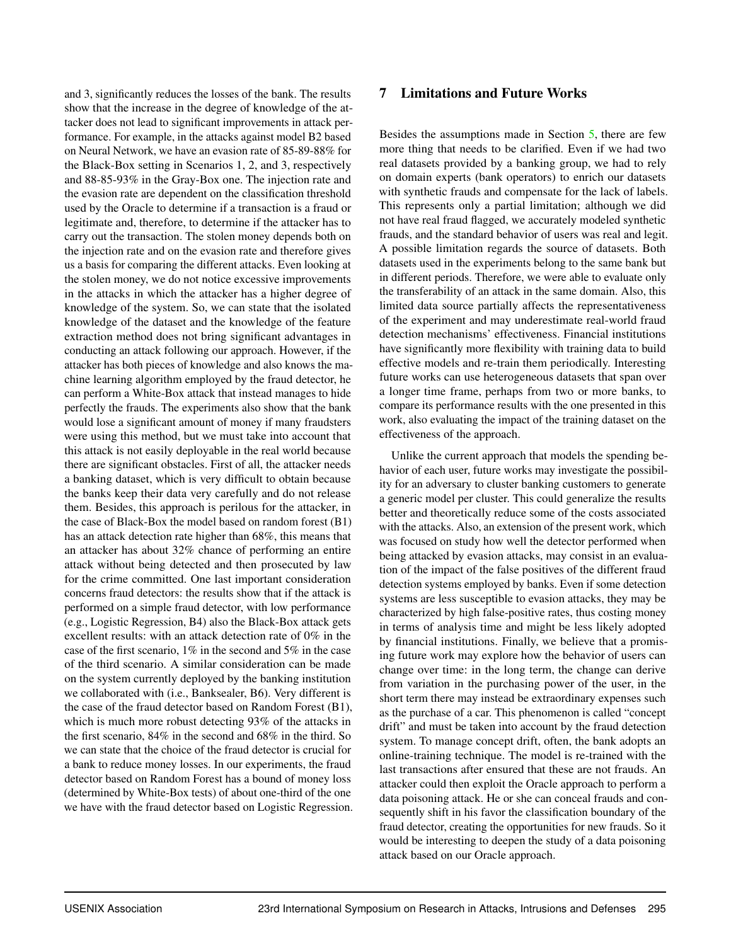and 3, significantly reduces the losses of the bank. The results show that the increase in the degree of knowledge of the attacker does not lead to significant improvements in attack performance. For example, in the attacks against model B2 based on Neural Network, we have an evasion rate of 85-89-88% for the Black-Box setting in Scenarios 1, 2, and 3, respectively and 88-85-93% in the Gray-Box one. The injection rate and the evasion rate are dependent on the classification threshold used by the Oracle to determine if a transaction is a fraud or legitimate and, therefore, to determine if the attacker has to carry out the transaction. The stolen money depends both on the injection rate and on the evasion rate and therefore gives us a basis for comparing the different attacks. Even looking at the stolen money, we do not notice excessive improvements in the attacks in which the attacker has a higher degree of knowledge of the system. So, we can state that the isolated knowledge of the dataset and the knowledge of the feature extraction method does not bring significant advantages in conducting an attack following our approach. However, if the attacker has both pieces of knowledge and also knows the machine learning algorithm employed by the fraud detector, he can perform a White-Box attack that instead manages to hide perfectly the frauds. The experiments also show that the bank would lose a significant amount of money if many fraudsters were using this method, but we must take into account that this attack is not easily deployable in the real world because there are significant obstacles. First of all, the attacker needs a banking dataset, which is very difficult to obtain because the banks keep their data very carefully and do not release them. Besides, this approach is perilous for the attacker, in the case of Black-Box the model based on random forest (B1) has an attack detection rate higher than 68%, this means that an attacker has about 32% chance of performing an entire attack without being detected and then prosecuted by law for the crime committed. One last important consideration concerns fraud detectors: the results show that if the attack is performed on a simple fraud detector, with low performance (e.g., Logistic Regression, B4) also the Black-Box attack gets excellent results: with an attack detection rate of 0% in the case of the first scenario, 1% in the second and 5% in the case of the third scenario. A similar consideration can be made on the system currently deployed by the banking institution we collaborated with (i.e., Banksealer, B6). Very different is the case of the fraud detector based on Random Forest (B1), which is much more robust detecting 93% of the attacks in the first scenario, 84% in the second and 68% in the third. So we can state that the choice of the fraud detector is crucial for a bank to reduce money losses. In our experiments, the fraud detector based on Random Forest has a bound of money loss (determined by White-Box tests) of about one-third of the one we have with the fraud detector based on Logistic Regression.

## 7 Limitations and Future Works

Besides the assumptions made in Section [5,](#page-3-3) there are few more thing that needs to be clarified. Even if we had two real datasets provided by a banking group, we had to rely on domain experts (bank operators) to enrich our datasets with synthetic frauds and compensate for the lack of labels. This represents only a partial limitation; although we did not have real fraud flagged, we accurately modeled synthetic frauds, and the standard behavior of users was real and legit. A possible limitation regards the source of datasets. Both datasets used in the experiments belong to the same bank but in different periods. Therefore, we were able to evaluate only the transferability of an attack in the same domain. Also, this limited data source partially affects the representativeness of the experiment and may underestimate real-world fraud detection mechanisms' effectiveness. Financial institutions have significantly more flexibility with training data to build effective models and re-train them periodically. Interesting future works can use heterogeneous datasets that span over a longer time frame, perhaps from two or more banks, to compare its performance results with the one presented in this work, also evaluating the impact of the training dataset on the effectiveness of the approach.

Unlike the current approach that models the spending behavior of each user, future works may investigate the possibility for an adversary to cluster banking customers to generate a generic model per cluster. This could generalize the results better and theoretically reduce some of the costs associated with the attacks. Also, an extension of the present work, which was focused on study how well the detector performed when being attacked by evasion attacks, may consist in an evaluation of the impact of the false positives of the different fraud detection systems employed by banks. Even if some detection systems are less susceptible to evasion attacks, they may be characterized by high false-positive rates, thus costing money in terms of analysis time and might be less likely adopted by financial institutions. Finally, we believe that a promising future work may explore how the behavior of users can change over time: in the long term, the change can derive from variation in the purchasing power of the user, in the short term there may instead be extraordinary expenses such as the purchase of a car. This phenomenon is called "concept drift" and must be taken into account by the fraud detection system. To manage concept drift, often, the bank adopts an online-training technique. The model is re-trained with the last transactions after ensured that these are not frauds. An attacker could then exploit the Oracle approach to perform a data poisoning attack. He or she can conceal frauds and consequently shift in his favor the classification boundary of the fraud detector, creating the opportunities for new frauds. So it would be interesting to deepen the study of a data poisoning attack based on our Oracle approach.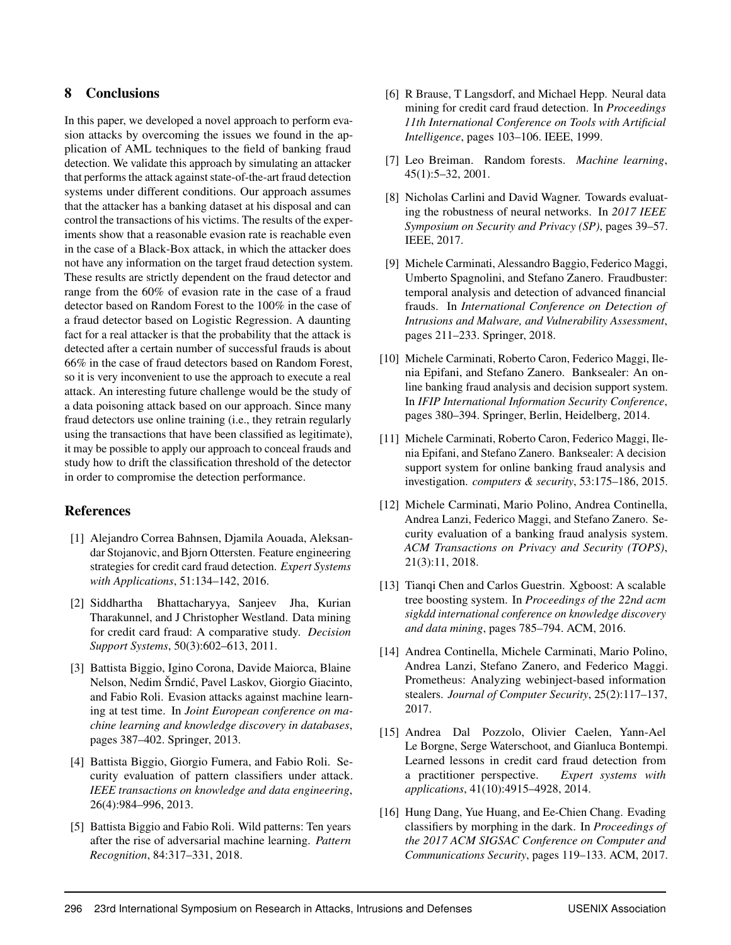## 8 Conclusions

In this paper, we developed a novel approach to perform evasion attacks by overcoming the issues we found in the application of AML techniques to the field of banking fraud detection. We validate this approach by simulating an attacker that performs the attack against state-of-the-art fraud detection systems under different conditions. Our approach assumes that the attacker has a banking dataset at his disposal and can control the transactions of his victims. The results of the experiments show that a reasonable evasion rate is reachable even in the case of a Black-Box attack, in which the attacker does not have any information on the target fraud detection system. These results are strictly dependent on the fraud detector and range from the 60% of evasion rate in the case of a fraud detector based on Random Forest to the 100% in the case of a fraud detector based on Logistic Regression. A daunting fact for a real attacker is that the probability that the attack is detected after a certain number of successful frauds is about 66% in the case of fraud detectors based on Random Forest, so it is very inconvenient to use the approach to execute a real attack. An interesting future challenge would be the study of a data poisoning attack based on our approach. Since many fraud detectors use online training (i.e., they retrain regularly using the transactions that have been classified as legitimate), it may be possible to apply our approach to conceal frauds and study how to drift the classification threshold of the detector in order to compromise the detection performance.

# References

- <span id="page-11-10"></span>[1] Alejandro Correa Bahnsen, Djamila Aouada, Aleksandar Stojanovic, and Bjorn Ottersten. Feature engineering strategies for credit card fraud detection. *Expert Systems with Applications*, 51:134–142, 2016.
- <span id="page-11-6"></span>[2] Siddhartha Bhattacharyya, Sanjeev Jha, Kurian Tharakunnel, and J Christopher Westland. Data mining for credit card fraud: A comparative study. *Decision Support Systems*, 50(3):602–613, 2011.
- <span id="page-11-0"></span>[3] Battista Biggio, Igino Corona, Davide Maiorca, Blaine Nelson, Nedim Šrndic, Pavel Laskov, Giorgio Giacinto, ´ and Fabio Roli. Evasion attacks against machine learning at test time. In *Joint European conference on machine learning and knowledge discovery in databases*, pages 387–402. Springer, 2013.
- <span id="page-11-8"></span>[4] Battista Biggio, Giorgio Fumera, and Fabio Roli. Security evaluation of pattern classifiers under attack. *IEEE transactions on knowledge and data engineering*, 26(4):984–996, 2013.
- <span id="page-11-9"></span>[5] Battista Biggio and Fabio Roli. Wild patterns: Ten years after the rise of adversarial machine learning. *Pattern Recognition*, 84:317–331, 2018.
- <span id="page-11-1"></span>[6] R Brause, T Langsdorf, and Michael Hepp. Neural data mining for credit card fraud detection. In *Proceedings 11th International Conference on Tools with Artificial Intelligence*, pages 103–106. IEEE, 1999.
- <span id="page-11-14"></span>[7] Leo Breiman. Random forests. *Machine learning*, 45(1):5–32, 2001.
- <span id="page-11-3"></span>[8] Nicholas Carlini and David Wagner. Towards evaluating the robustness of neural networks. In *2017 IEEE Symposium on Security and Privacy (SP)*, pages 39–57. IEEE, 2017.
- <span id="page-11-12"></span>[9] Michele Carminati, Alessandro Baggio, Federico Maggi, Umberto Spagnolini, and Stefano Zanero. Fraudbuster: temporal analysis and detection of advanced financial frauds. In *International Conference on Detection of Intrusions and Malware, and Vulnerability Assessment*, pages 211–233. Springer, 2018.
- <span id="page-11-5"></span>[10] Michele Carminati, Roberto Caron, Federico Maggi, Ilenia Epifani, and Stefano Zanero. Banksealer: An online banking fraud analysis and decision support system. In *IFIP International Information Security Conference*, pages 380–394. Springer, Berlin, Heidelberg, 2014.
- <span id="page-11-2"></span>[11] Michele Carminati, Roberto Caron, Federico Maggi, Ilenia Epifani, and Stefano Zanero. Banksealer: A decision support system for online banking fraud analysis and investigation. *computers & security*, 53:175–186, 2015.
- <span id="page-11-7"></span>[12] Michele Carminati, Mario Polino, Andrea Continella, Andrea Lanzi, Federico Maggi, and Stefano Zanero. Security evaluation of a banking fraud analysis system. *ACM Transactions on Privacy and Security (TOPS)*, 21(3):11, 2018.
- <span id="page-11-15"></span>[13] Tianqi Chen and Carlos Guestrin. Xgboost: A scalable tree boosting system. In *Proceedings of the 22nd acm sigkdd international conference on knowledge discovery and data mining*, pages 785–794. ACM, 2016.
- <span id="page-11-13"></span>[14] Andrea Continella, Michele Carminati, Mario Polino, Andrea Lanzi, Stefano Zanero, and Federico Maggi. Prometheus: Analyzing webinject-based information stealers. *Journal of Computer Security*, 25(2):117–137, 2017.
- <span id="page-11-11"></span>[15] Andrea Dal Pozzolo, Olivier Caelen, Yann-Ael Le Borgne, Serge Waterschoot, and Gianluca Bontempi. Learned lessons in credit card fraud detection from a practitioner perspective. *Expert systems with applications*, 41(10):4915–4928, 2014.
- <span id="page-11-4"></span>[16] Hung Dang, Yue Huang, and Ee-Chien Chang. Evading classifiers by morphing in the dark. In *Proceedings of the 2017 ACM SIGSAC Conference on Computer and Communications Security*, pages 119–133. ACM, 2017.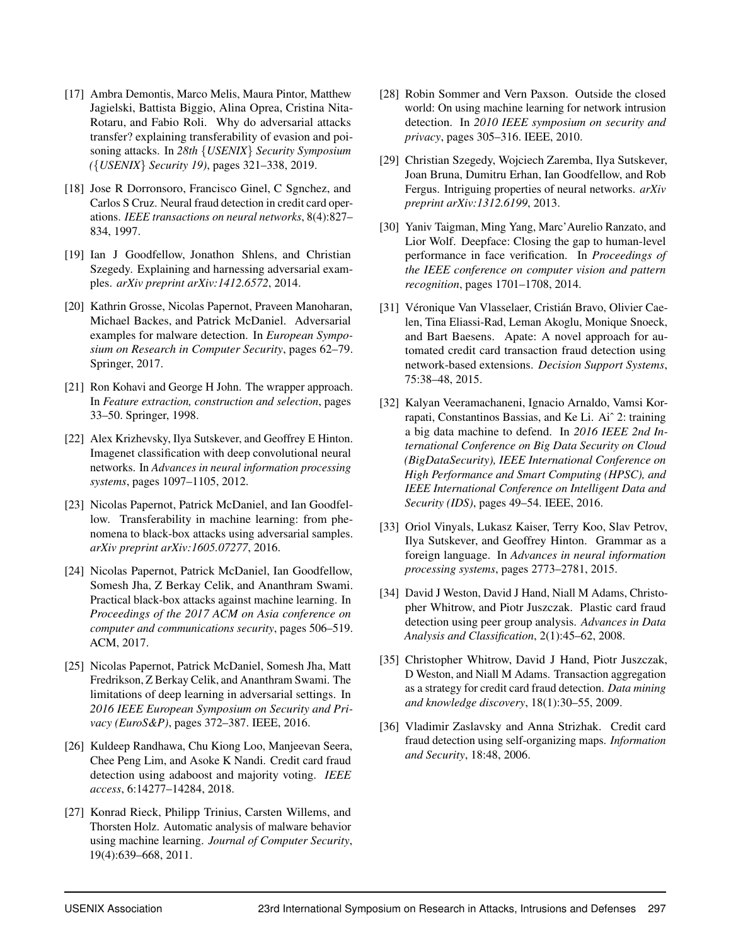- <span id="page-12-9"></span>[17] Ambra Demontis, Marco Melis, Maura Pintor, Matthew Jagielski, Battista Biggio, Alina Oprea, Cristina Nita-Rotaru, and Fabio Roli. Why do adversarial attacks transfer? explaining transferability of evasion and poisoning attacks. In *28th* {*USENIX*} *Security Symposium (*{*USENIX*} *Security 19)*, pages 321–338, 2019.
- <span id="page-12-5"></span>[18] Jose R Dorronsoro, Francisco Ginel, C Sgnchez, and Carlos S Cruz. Neural fraud detection in credit card operations. *IEEE transactions on neural networks*, 8(4):827– 834, 1997.
- <span id="page-12-7"></span>[19] Ian J Goodfellow, Jonathon Shlens, and Christian Szegedy. Explaining and harnessing adversarial examples. *arXiv preprint arXiv:1412.6572*, 2014.
- <span id="page-12-12"></span>[20] Kathrin Grosse, Nicolas Papernot, Praveen Manoharan, Michael Backes, and Patrick McDaniel. Adversarial examples for malware detection. In *European Symposium on Research in Computer Security*, pages 62–79. Springer, 2017.
- <span id="page-12-19"></span>[21] Ron Kohavi and George H John. The wrapper approach. In *Feature extraction, construction and selection*, pages 33–50. Springer, 1998.
- <span id="page-12-0"></span>[22] Alex Krizhevsky, Ilya Sutskever, and Geoffrey E Hinton. Imagenet classification with deep convolutional neural networks. In *Advances in neural information processing systems*, pages 1097–1105, 2012.
- <span id="page-12-10"></span>[23] Nicolas Papernot, Patrick McDaniel, and Ian Goodfellow. Transferability in machine learning: from phenomena to black-box attacks using adversarial samples. *arXiv preprint arXiv:1605.07277*, 2016.
- <span id="page-12-11"></span>[24] Nicolas Papernot, Patrick McDaniel, Ian Goodfellow, Somesh Jha, Z Berkay Celik, and Ananthram Swami. Practical black-box attacks against machine learning. In *Proceedings of the 2017 ACM on Asia conference on computer and communications security*, pages 506–519. ACM, 2017.
- <span id="page-12-8"></span>[25] Nicolas Papernot, Patrick McDaniel, Somesh Jha, Matt Fredrikson, Z Berkay Celik, and Ananthram Swami. The limitations of deep learning in adversarial settings. In *2016 IEEE European Symposium on Security and Privacy (EuroS&P)*, pages 372–387. IEEE, 2016.
- <span id="page-12-6"></span>[26] Kuldeep Randhawa, Chu Kiong Loo, Manjeevan Seera, Chee Peng Lim, and Asoke K Nandi. Credit card fraud detection using adaboost and majority voting. *IEEE access*, 6:14277–14284, 2018.
- <span id="page-12-3"></span>[27] Konrad Rieck, Philipp Trinius, Carsten Willems, and Thorsten Holz. Automatic analysis of malware behavior using machine learning. *Journal of Computer Security*, 19(4):639–668, 2011.
- <span id="page-12-4"></span>[28] Robin Sommer and Vern Paxson. Outside the closed world: On using machine learning for network intrusion detection. In *2010 IEEE symposium on security and privacy*, pages 305–316. IEEE, 2010.
- <span id="page-12-16"></span>[29] Christian Szegedy, Wojciech Zaremba, Ilya Sutskever, Joan Bruna, Dumitru Erhan, Ian Goodfellow, and Rob Fergus. Intriguing properties of neural networks. *arXiv preprint arXiv:1312.6199*, 2013.
- <span id="page-12-1"></span>[30] Yaniv Taigman, Ming Yang, Marc'Aurelio Ranzato, and Lior Wolf. Deepface: Closing the gap to human-level performance in face verification. In *Proceedings of the IEEE conference on computer vision and pattern recognition*, pages 1701–1708, 2014.
- <span id="page-12-17"></span>[31] Véronique Van Vlasselaer, Cristián Bravo, Olivier Caelen, Tina Eliassi-Rad, Leman Akoglu, Monique Snoeck, and Bart Baesens. Apate: A novel approach for automated credit card transaction fraud detection using network-based extensions. *Decision Support Systems*, 75:38–48, 2015.
- <span id="page-12-18"></span>[32] Kalyan Veeramachaneni, Ignacio Arnaldo, Vamsi Korrapati, Constantinos Bassias, and Ke Li. Aiˆ 2: training a big data machine to defend. In *2016 IEEE 2nd International Conference on Big Data Security on Cloud (BigDataSecurity), IEEE International Conference on High Performance and Smart Computing (HPSC), and IEEE International Conference on Intelligent Data and Security (IDS)*, pages 49–54. IEEE, 2016.
- <span id="page-12-2"></span>[33] Oriol Vinyals, Lukasz Kaiser, Terry Koo, Slav Petrov, Ilya Sutskever, and Geoffrey Hinton. Grammar as a foreign language. In *Advances in neural information processing systems*, pages 2773–2781, 2015.
- <span id="page-12-14"></span>[34] David J Weston, David J Hand, Niall M Adams, Christopher Whitrow, and Piotr Juszczak. Plastic card fraud detection using peer group analysis. *Advances in Data Analysis and Classification*, 2(1):45–62, 2008.
- <span id="page-12-15"></span>[35] Christopher Whitrow, David J Hand, Piotr Juszczak, D Weston, and Niall M Adams. Transaction aggregation as a strategy for credit card fraud detection. *Data mining and knowledge discovery*, 18(1):30–55, 2009.
- <span id="page-12-13"></span>[36] Vladimir Zaslavsky and Anna Strizhak. Credit card fraud detection using self-organizing maps. *Information and Security*, 18:48, 2006.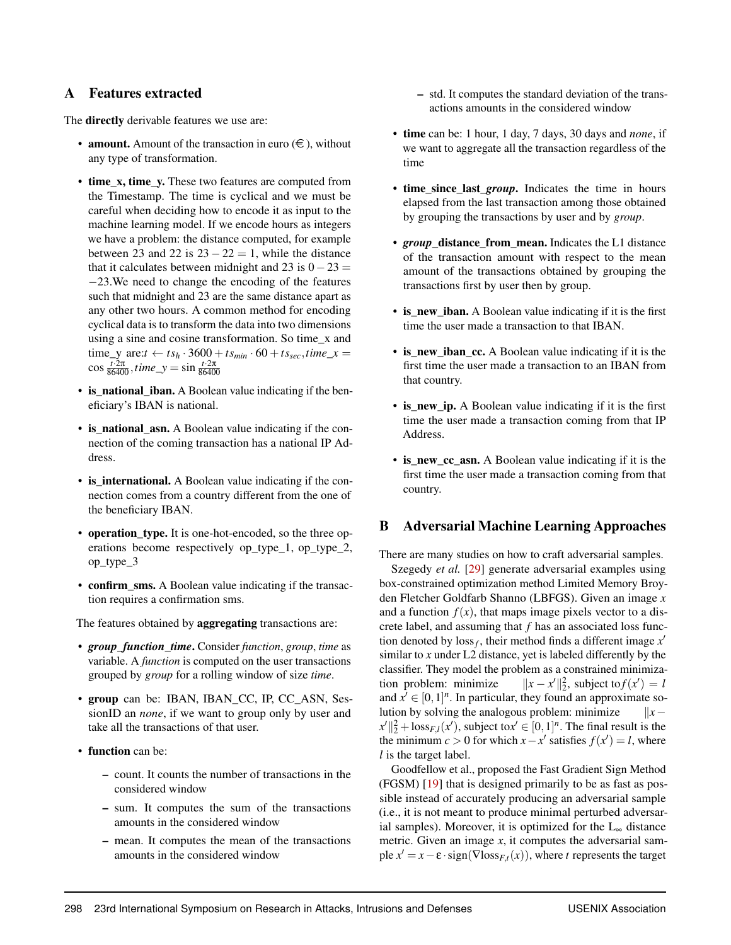## <span id="page-13-1"></span>A Features extracted

The **directly** derivable features we use are:

- **amount.** Amount of the transaction in euro  $(\epsilon)$ , without any type of transformation.
- time\_x, time\_y. These two features are computed from the Timestamp. The time is cyclical and we must be careful when deciding how to encode it as input to the machine learning model. If we encode hours as integers we have a problem: the distance computed, for example between 23 and 22 is  $23 - 22 = 1$ , while the distance that it calculates between midnight and 23 is  $0-23 =$ −23.We need to change the encoding of the features such that midnight and 23 are the same distance apart as any other two hours. A common method for encoding cyclical data is to transform the data into two dimensions using a sine and cosine transformation. So time\_x and  $time\_y$  are: $t \leftarrow ts_h \cdot 3600 + ts_{min} \cdot 60 + ts_{sec}, time\_x =$  $\cos \frac{t \cdot 2\pi}{86400}, \text{time\_y} = \sin \frac{t \cdot 2\pi}{86400}$
- is national iban. A Boolean value indicating if the beneficiary's IBAN is national.
- is\_national\_asn. A Boolean value indicating if the connection of the coming transaction has a national IP Address.
- is international. A Boolean value indicating if the connection comes from a country different from the one of the beneficiary IBAN.
- operation type. It is one-hot-encoded, so the three operations become respectively op\_type\_1, op\_type\_2, op\_type\_3
- confirm\_sms. A Boolean value indicating if the transaction requires a confirmation sms.

The features obtained by **aggregating** transactions are:

- *group*\_*function*\_*time*. Consider *function*, *group*, *time* as variable. A *function* is computed on the user transactions grouped by *group* for a rolling window of size *time*.
- group can be: IBAN, IBAN\_CC, IP, CC\_ASN, SessionID an *none*, if we want to group only by user and take all the transactions of that user.
- function can be:
	- count. It counts the number of transactions in the considered window
	- sum. It computes the sum of the transactions amounts in the considered window
	- mean. It computes the mean of the transactions amounts in the considered window
- std. It computes the standard deviation of the transactions amounts in the considered window
- time can be: 1 hour, 1 day, 7 days, 30 days and *none*, if we want to aggregate all the transaction regardless of the time
- time since last *group*. Indicates the time in hours elapsed from the last transaction among those obtained by grouping the transactions by user and by *group*.
- *group\_distance\_from\_mean.* Indicates the L1 distance of the transaction amount with respect to the mean amount of the transactions obtained by grouping the transactions first by user then by group.
- is new iban. A Boolean value indicating if it is the first time the user made a transaction to that IBAN.
- is new iban cc. A Boolean value indicating if it is the first time the user made a transaction to an IBAN from that country.
- is new ip. A Boolean value indicating if it is the first time the user made a transaction coming from that IP Address.
- is\_new\_cc\_asn. A Boolean value indicating if it is the first time the user made a transaction coming from that country.

### <span id="page-13-0"></span>B Adversarial Machine Learning Approaches

There are many studies on how to craft adversarial samples.

Szegedy *et al.* [\[29\]](#page-12-16) generate adversarial examples using box-constrained optimization method Limited Memory Broyden Fletcher Goldfarb Shanno (LBFGS). Given an image *x* and a function  $f(x)$ , that maps image pixels vector to a discrete label, and assuming that *f* has an associated loss function denoted by  $loss_f$ , their method finds a different image  $x'$ similar to  $x$  under L2 distance, yet is labeled differently by the classifier. They model the problem as a constrained minimization problem: minimize  $\mathcal{L} \parallel_2^2$ , subject to  $f(x') = l$ and  $x' \in [0,1]^n$ . In particular, they found an approximate solution by solving the analogous problem: minimize k*x*−  $||x'||_2^2 + \text{loss}_{F,l}(x')$ , subject to  $x' \in [0,1]^n$ . The final result is the the minimum *c* > 0 for which  $x - x'$  satisfies  $f(x') = l$ , where *l* is the target label.

Goodfellow et al., proposed the Fast Gradient Sign Method (FGSM) [\[19\]](#page-12-7) that is designed primarily to be as fast as possible instead of accurately producing an adversarial sample (i.e., it is not meant to produce minimal perturbed adversarial samples). Moreover, it is optimized for the  $L_{\infty}$  distance metric. Given an image *x*, it computes the adversarial sample  $x' = x - \varepsilon \cdot sign(\nabla loss_{F,t}(x))$ , where *t* represents the target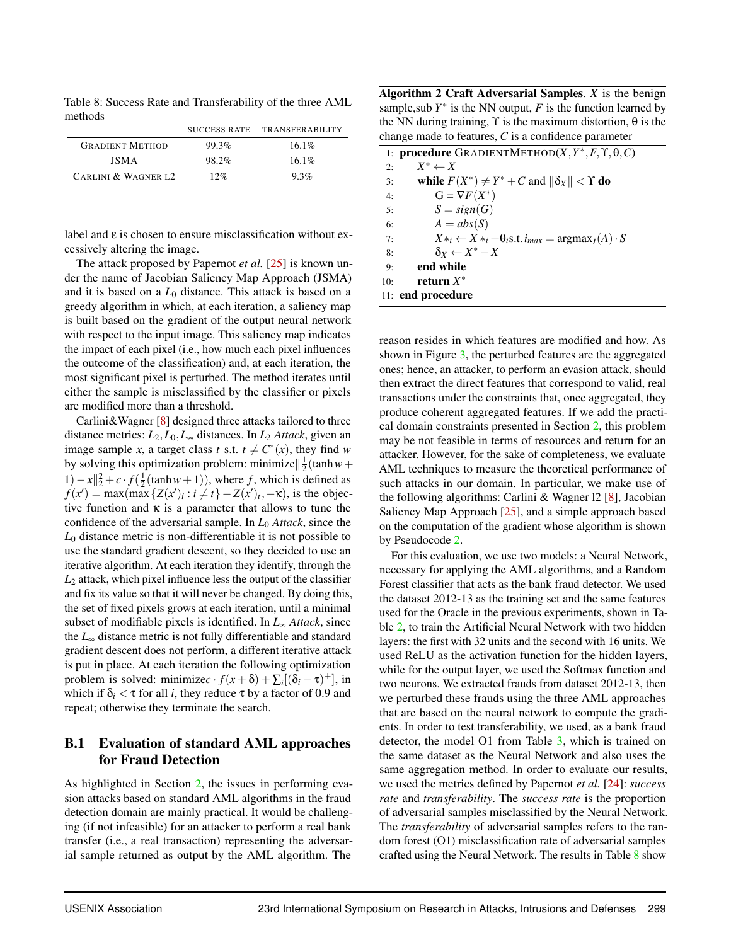<span id="page-14-2"></span>Table 8: Success Rate and Transferability of the three AML methods

|                        | <b>SUCCESS RATE</b> | <b>TRANSFERABILITY</b> |
|------------------------|---------------------|------------------------|
| <b>GRADIENT METHOD</b> | 99.3%               | $16.1\%$               |
| <b>JSMA</b>            | 98.2%               | $16.1\%$               |
| CARLINI & WAGNER L2    | 12%                 | 9.3%                   |

label and ε is chosen to ensure misclassification without excessively altering the image.

The attack proposed by Papernot *et al.* [\[25\]](#page-12-8) is known under the name of Jacobian Saliency Map Approach (JSMA) and it is based on a *L*<sup>0</sup> distance. This attack is based on a greedy algorithm in which, at each iteration, a saliency map is built based on the gradient of the output neural network with respect to the input image. This saliency map indicates the impact of each pixel (i.e., how much each pixel influences the outcome of the classification) and, at each iteration, the most significant pixel is perturbed. The method iterates until either the sample is misclassified by the classifier or pixels are modified more than a threshold.

Carlini&Wagner [\[8\]](#page-11-3) designed three attacks tailored to three distance metrics: *L*2,*L*0,*L*<sup>∞</sup> distances. In *L*<sup>2</sup> *Attack*, given an image sample *x*, a target class *t* s.t.  $t \neq C^*(x)$ , they find *w* by solving this optimization problem: minimize $\left|\frac{1}{2}(\tanh w + \cdots)\right|$ 1)− $x||_2^2 + c \cdot f(\frac{1}{2}(\tanh w + 1))$ , where *f*, which is defined as  $f(x') = \max(\max\{Z(x')_i : i \neq t\} - Z(x')_t, -\kappa)$ , is the objective function and  $\kappa$  is a parameter that allows to tune the confidence of the adversarial sample. In *L*<sup>0</sup> *Attack*, since the *L*<sup>0</sup> distance metric is non-differentiable it is not possible to use the standard gradient descent, so they decided to use an iterative algorithm. At each iteration they identify, through the *L*<sup>2</sup> attack, which pixel influence less the output of the classifier and fix its value so that it will never be changed. By doing this, the set of fixed pixels grows at each iteration, until a minimal subset of modifiable pixels is identified. In *L*<sup>∞</sup> *Attack*, since the *L*<sup>∞</sup> distance metric is not fully differentiable and standard gradient descent does not perform, a different iterative attack is put in place. At each iteration the following optimization problem is solved: minimize $c \cdot f(x + \delta) + \sum_i [(\delta_i - \tau)^+]$ , in which if  $\delta_i < \tau$  for all *i*, they reduce  $\tau$  by a factor of 0.9 and repeat; otherwise they terminate the search.

# <span id="page-14-0"></span>B.1 Evaluation of standard AML approaches for Fraud Detection

As highlighted in Section [2,](#page-1-1) the issues in performing evasion attacks based on standard AML algorithms in the fraud detection domain are mainly practical. It would be challenging (if not infeasible) for an attacker to perform a real bank transfer (i.e., a real transaction) representing the adversarial sample returned as output by the AML algorithm. The

Algorithm 2 Craft Adversarial Samples. *X* is the benign sample, sub  $Y^*$  is the NN output,  $F$  is the function learned by the NN during training,  $\Upsilon$  is the maximum distortion, θ is the change made to features, *C* is a confidence parameter

<span id="page-14-1"></span>

|     | 1: <b>procedure</b> GRADIENTMETHOD(X, $Y^*, F, \Upsilon, \theta, C$ )         |
|-----|-------------------------------------------------------------------------------|
| 2.5 | $X^* \leftarrow X$                                                            |
| 3:  | while $F(X^*) \neq Y^* + C$ and $\ \delta_X\  < \Upsilon$ do                  |
| 4:  | $G = \nabla F(X^*)$                                                           |
| 5:  | $S = sign(G)$                                                                 |
| 6:  | $A = abs(S)$                                                                  |
| 7:  | $X*_i \leftarrow X*_i + \theta_i$ s.t. $i_{max} = \text{argmax}_I(A) \cdot S$ |
| 8:  | $\delta_X \leftarrow X^* - X$                                                 |
| 9:  | end while                                                                     |
| 10: | return $X^*$                                                                  |
|     | 11: end procedure                                                             |
|     |                                                                               |

reason resides in which features are modified and how. As shown in Figure [3,](#page-15-1) the perturbed features are the aggregated ones; hence, an attacker, to perform an evasion attack, should then extract the direct features that correspond to valid, real transactions under the constraints that, once aggregated, they produce coherent aggregated features. If we add the practical domain constraints presented in Section [2,](#page-1-1) this problem may be not feasible in terms of resources and return for an attacker. However, for the sake of completeness, we evaluate AML techniques to measure the theoretical performance of such attacks in our domain. In particular, we make use of the following algorithms: Carlini & Wagner l2 [\[8\]](#page-11-3), Jacobian Saliency Map Approach [\[25\]](#page-12-8), and a simple approach based on the computation of the gradient whose algorithm is shown by Pseudocode [2.](#page-14-1)

For this evaluation, we use two models: a Neural Network, necessary for applying the AML algorithms, and a Random Forest classifier that acts as the bank fraud detector. We used the dataset 2012-13 as the training set and the same features used for the Oracle in the previous experiments, shown in Table [2,](#page-4-0) to train the Artificial Neural Network with two hidden layers: the first with 32 units and the second with 16 units. We used ReLU as the activation function for the hidden layers, while for the output layer, we used the Softmax function and two neurons. We extracted frauds from dataset 2012-13, then we perturbed these frauds using the three AML approaches that are based on the neural network to compute the gradients. In order to test transferability, we used, as a bank fraud detector, the model O1 from Table [3,](#page-6-1) which is trained on the same dataset as the Neural Network and also uses the same aggregation method. In order to evaluate our results, we used the metrics defined by Papernot *et al.* [\[24\]](#page-12-11): *success rate* and *transferability*. The *success rate* is the proportion of adversarial samples misclassified by the Neural Network. The *transferability* of adversarial samples refers to the random forest (O1) misclassification rate of adversarial samples crafted using the Neural Network. The results in Table [8](#page-14-2) show